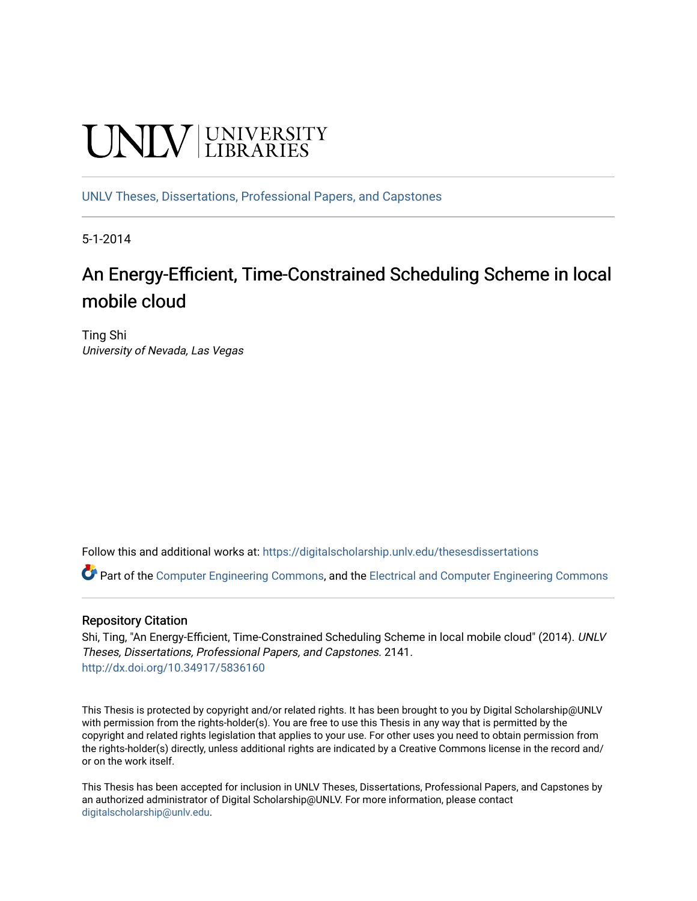# **UNIVERSITY**

[UNLV Theses, Dissertations, Professional Papers, and Capstones](https://digitalscholarship.unlv.edu/thesesdissertations)

5-1-2014

# An Energy-Efficient, Time-Constrained Scheduling Scheme in local mobile cloud

Ting Shi University of Nevada, Las Vegas

Follow this and additional works at: [https://digitalscholarship.unlv.edu/thesesdissertations](https://digitalscholarship.unlv.edu/thesesdissertations?utm_source=digitalscholarship.unlv.edu%2Fthesesdissertations%2F2141&utm_medium=PDF&utm_campaign=PDFCoverPages)

Part of the [Computer Engineering Commons,](http://network.bepress.com/hgg/discipline/258?utm_source=digitalscholarship.unlv.edu%2Fthesesdissertations%2F2141&utm_medium=PDF&utm_campaign=PDFCoverPages) and the [Electrical and Computer Engineering Commons](http://network.bepress.com/hgg/discipline/266?utm_source=digitalscholarship.unlv.edu%2Fthesesdissertations%2F2141&utm_medium=PDF&utm_campaign=PDFCoverPages)

#### Repository Citation

Shi, Ting, "An Energy-Efficient, Time-Constrained Scheduling Scheme in local mobile cloud" (2014). UNLV Theses, Dissertations, Professional Papers, and Capstones. 2141. <http://dx.doi.org/10.34917/5836160>

This Thesis is protected by copyright and/or related rights. It has been brought to you by Digital Scholarship@UNLV with permission from the rights-holder(s). You are free to use this Thesis in any way that is permitted by the copyright and related rights legislation that applies to your use. For other uses you need to obtain permission from the rights-holder(s) directly, unless additional rights are indicated by a Creative Commons license in the record and/ or on the work itself.

This Thesis has been accepted for inclusion in UNLV Theses, Dissertations, Professional Papers, and Capstones by an authorized administrator of Digital Scholarship@UNLV. For more information, please contact [digitalscholarship@unlv.edu](mailto:digitalscholarship@unlv.edu).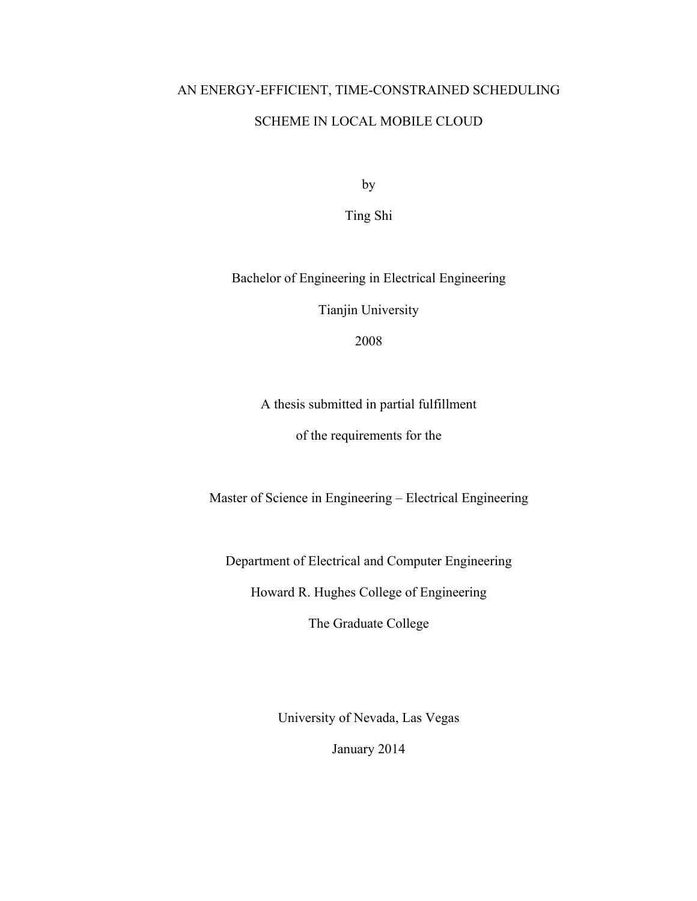# AN ENERGY-EFFICIENT, TIME-CONSTRAINED SCHEDULING SCHEME IN LOCAL MOBILE CLOUD

by

Ting Shi

Bachelor of Engineering in Electrical Engineering

Tianjin University

2008

A thesis submitted in partial fulfillment

of the requirements for the

Master of Science in Engineering – Electrical Engineering

Department of Electrical and Computer Engineering

Howard R. Hughes College of Engineering

The Graduate College

University of Nevada, Las Vegas

January 2014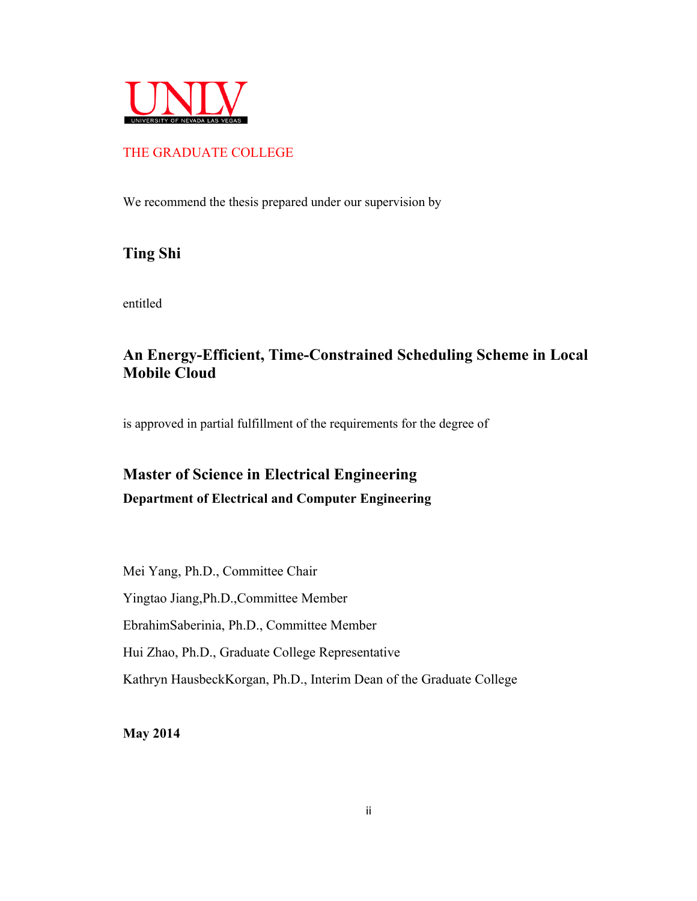

## THE GRADUATE COLLEGE

We recommend the thesis prepared under our supervision by

**Ting Shi** 

entitled

# **An Energy-Efficient, Time-Constrained Scheduling Scheme in Local Mobile Cloud**

is approved in partial fulfillment of the requirements for the degree of

# **Master of Science in Electrical Engineering Department of Electrical and Computer Engineering**

Mei Yang, Ph.D., Committee Chair Yingtao Jiang,Ph.D.,Committee Member EbrahimSaberinia, Ph.D., Committee Member Hui Zhao, Ph.D., Graduate College Representative Kathryn HausbeckKorgan, Ph.D., Interim Dean of the Graduate College

**May 2014**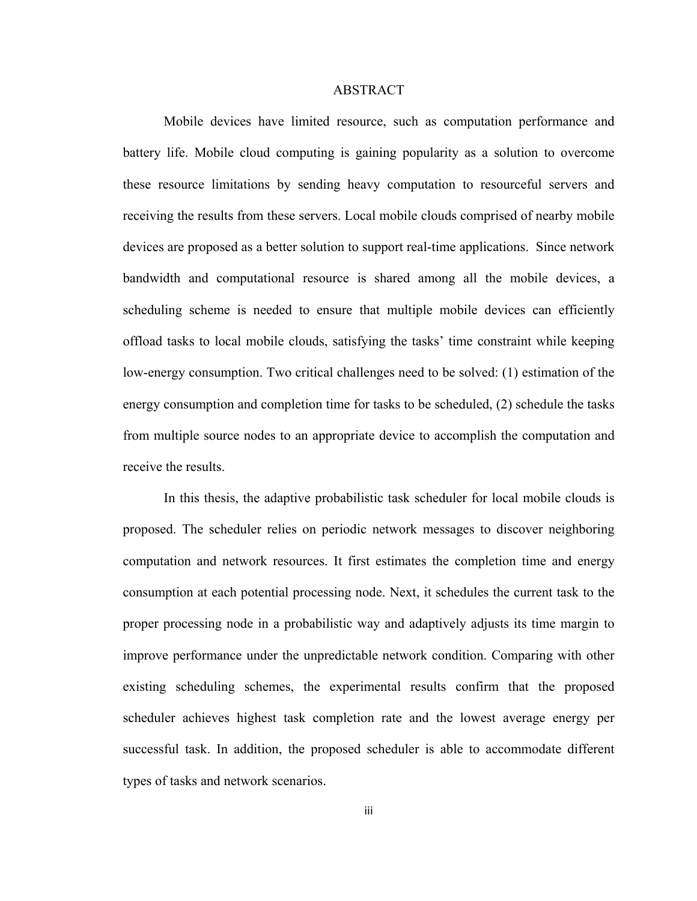#### ABSTRACT

 Mobile devices have limited resource, such as computation performance and battery life. Mobile cloud computing is gaining popularity as a solution to overcome these resource limitations by sending heavy computation to resourceful servers and receiving the results from these servers. Local mobile clouds comprised of nearby mobile devices are proposed as a better solution to support real-time applications. Since network bandwidth and computational resource is shared among all the mobile devices, a scheduling scheme is needed to ensure that multiple mobile devices can efficiently offload tasks to local mobile clouds, satisfying the tasks' time constraint while keeping low-energy consumption. Two critical challenges need to be solved: (1) estimation of the energy consumption and completion time for tasks to be scheduled, (2) schedule the tasks from multiple source nodes to an appropriate device to accomplish the computation and receive the results.

In this thesis, the adaptive probabilistic task scheduler for local mobile clouds is proposed. The scheduler relies on periodic network messages to discover neighboring computation and network resources. It first estimates the completion time and energy consumption at each potential processing node. Next, it schedules the current task to the proper processing node in a probabilistic way and adaptively adjusts its time margin to improve performance under the unpredictable network condition. Comparing with other existing scheduling schemes, the experimental results confirm that the proposed scheduler achieves highest task completion rate and the lowest average energy per successful task. In addition, the proposed scheduler is able to accommodate different types of tasks and network scenarios.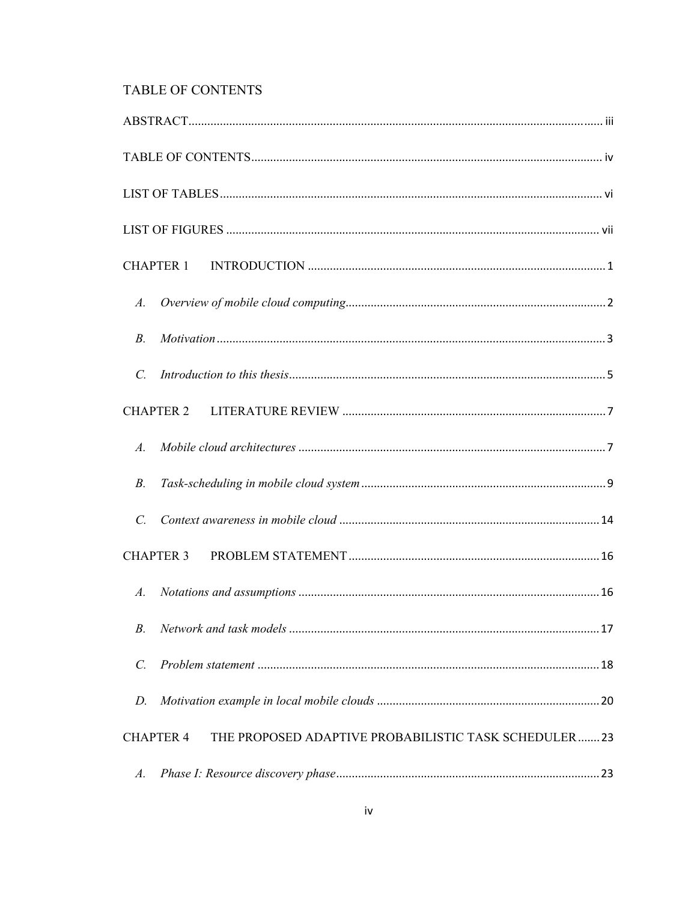# TABLE OF CONTENTS

| $A$ .                                                                    |
|--------------------------------------------------------------------------|
| В.                                                                       |
| $\mathcal{C}$ .                                                          |
|                                                                          |
| $\mathcal{A}$ .                                                          |
| В.                                                                       |
| $\mathcal{C}$ .                                                          |
|                                                                          |
| A.                                                                       |
| $B_{\cdot}$                                                              |
| $\mathcal{C}$ .                                                          |
| D.                                                                       |
| THE PROPOSED ADAPTIVE PROBABILISTIC TASK SCHEDULER23<br><b>CHAPTER 4</b> |
| A.                                                                       |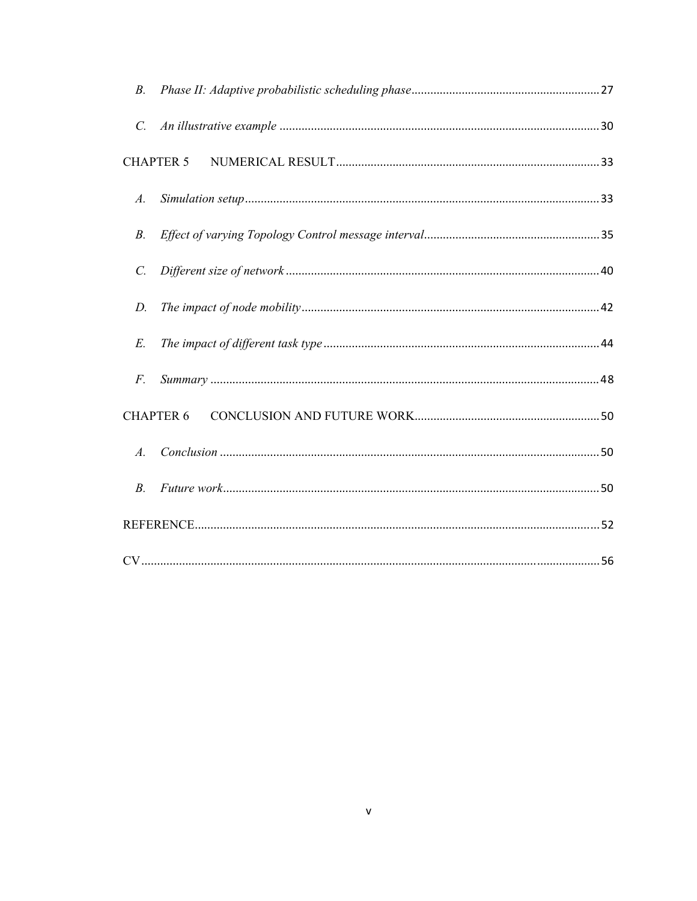| $B_{\cdot}$     |                  |  |
|-----------------|------------------|--|
| $\mathcal{C}$ . |                  |  |
|                 | <b>CHAPTER 5</b> |  |
| $A$ .           |                  |  |
| $B_{\cdot}$     |                  |  |
| $\mathcal{C}$ . |                  |  |
| D.              |                  |  |
| E.              |                  |  |
| $F$ .           |                  |  |
|                 | <b>CHAPTER 6</b> |  |
| $\mathcal{A}$ . |                  |  |
| $B$ .           |                  |  |
|                 |                  |  |
|                 |                  |  |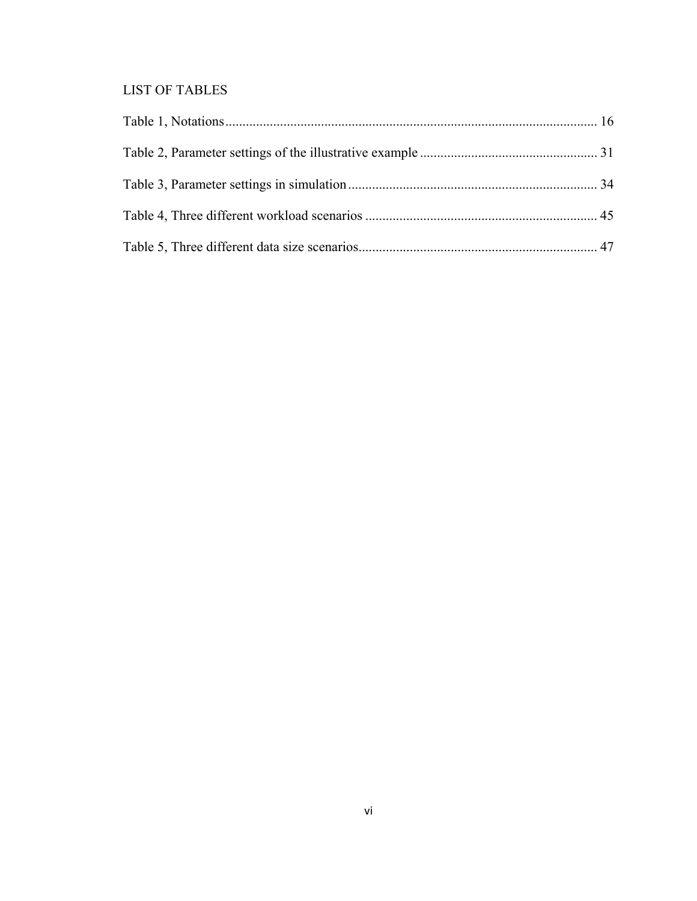## LIST OF TABLES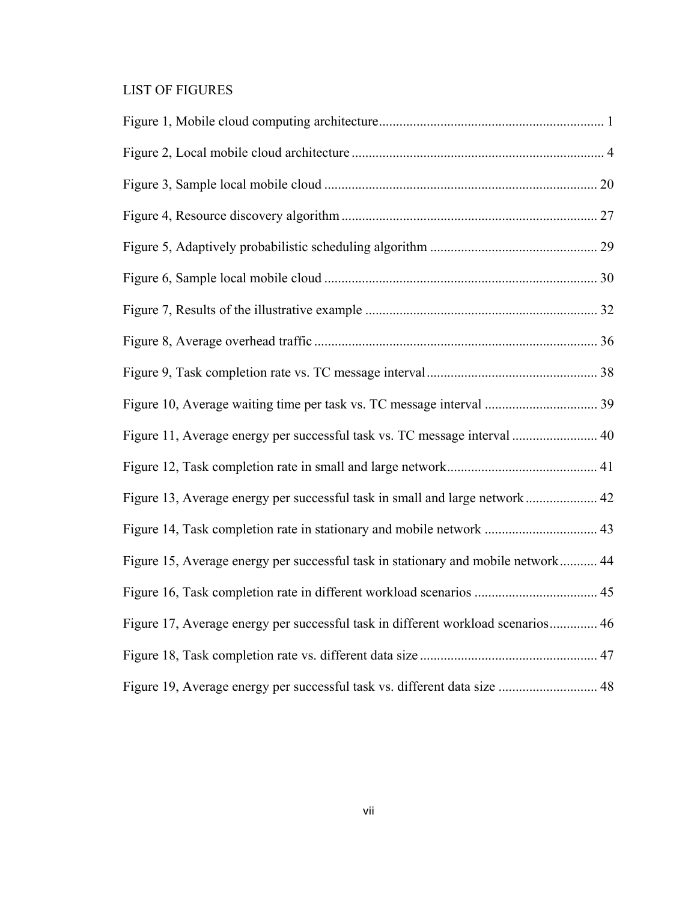# LIST OF FIGURES

| Figure 11, Average energy per successful task vs. TC message interval  40         |  |
|-----------------------------------------------------------------------------------|--|
|                                                                                   |  |
| Figure 13, Average energy per successful task in small and large network 42       |  |
| Figure 14, Task completion rate in stationary and mobile network  43              |  |
| Figure 15, Average energy per successful task in stationary and mobile network 44 |  |
|                                                                                   |  |
| Figure 17, Average energy per successful task in different workload scenarios 46  |  |
|                                                                                   |  |
| Figure 19, Average energy per successful task vs. different data size  48         |  |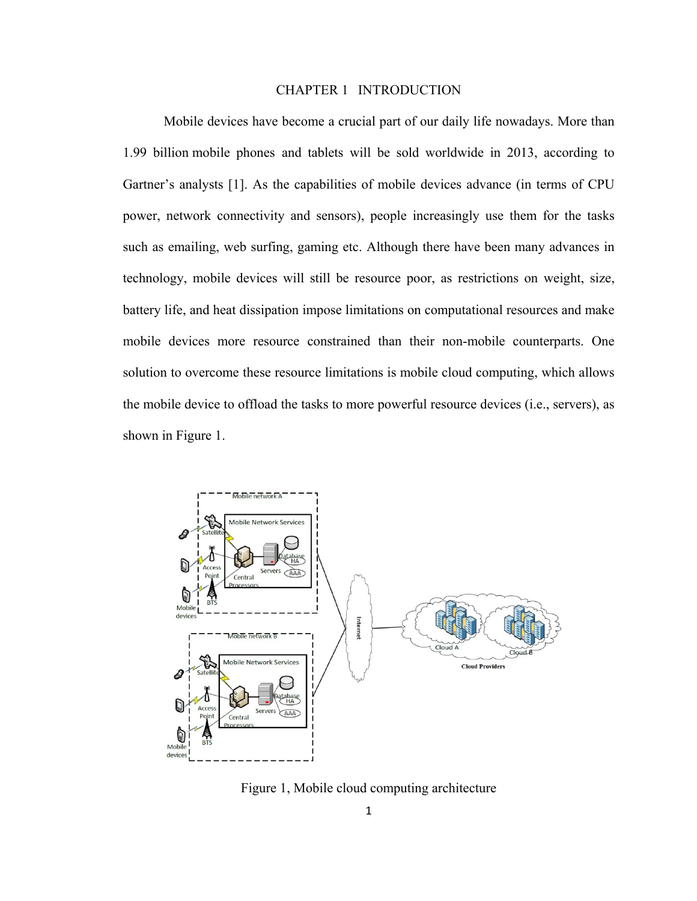#### CHAPTER 1 INTRODUCTION

Mobile devices have become a crucial part of our daily life nowadays. More than 1.99 billion mobile phones and tablets will be sold worldwide in 2013, according to Gartner's analysts [1]. As the capabilities of mobile devices advance (in terms of CPU power, network connectivity and sensors), people increasingly use them for the tasks such as emailing, web surfing, gaming etc. Although there have been many advances in technology, mobile devices will still be resource poor, as restrictions on weight, size, battery life, and heat dissipation impose limitations on computational resources and make mobile devices more resource constrained than their non-mobile counterparts. One solution to overcome these resource limitations is mobile cloud computing, which allows the mobile device to offload the tasks to more powerful resource devices (i.e., servers), as shown in Figure 1.



Figure 1, Mobile cloud computing architecture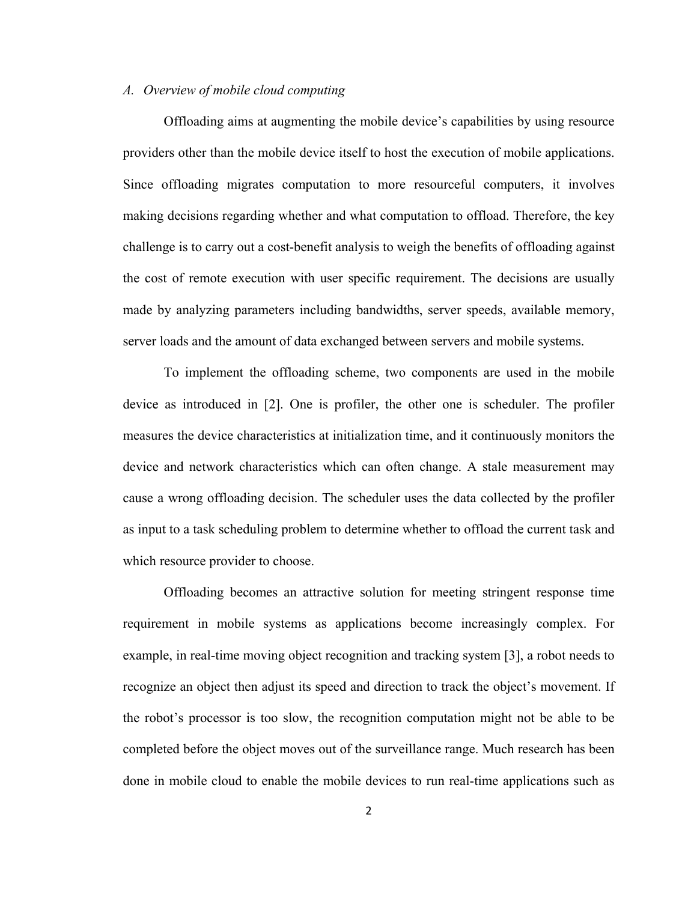#### *A. Overview of mobile cloud computing*

Offloading aims at augmenting the mobile device's capabilities by using resource providers other than the mobile device itself to host the execution of mobile applications. Since offloading migrates computation to more resourceful computers, it involves making decisions regarding whether and what computation to offload. Therefore, the key challenge is to carry out a cost-benefit analysis to weigh the benefits of offloading against the cost of remote execution with user specific requirement. The decisions are usually made by analyzing parameters including bandwidths, server speeds, available memory, server loads and the amount of data exchanged between servers and mobile systems.

To implement the offloading scheme, two components are used in the mobile device as introduced in [2]. One is profiler, the other one is scheduler. The profiler measures the device characteristics at initialization time, and it continuously monitors the device and network characteristics which can often change. A stale measurement may cause a wrong offloading decision. The scheduler uses the data collected by the profiler as input to a task scheduling problem to determine whether to offload the current task and which resource provider to choose.

Offloading becomes an attractive solution for meeting stringent response time requirement in mobile systems as applications become increasingly complex. For example, in real-time moving object recognition and tracking system [3], a robot needs to recognize an object then adjust its speed and direction to track the object's movement. If the robot's processor is too slow, the recognition computation might not be able to be completed before the object moves out of the surveillance range. Much research has been done in mobile cloud to enable the mobile devices to run real-time applications such as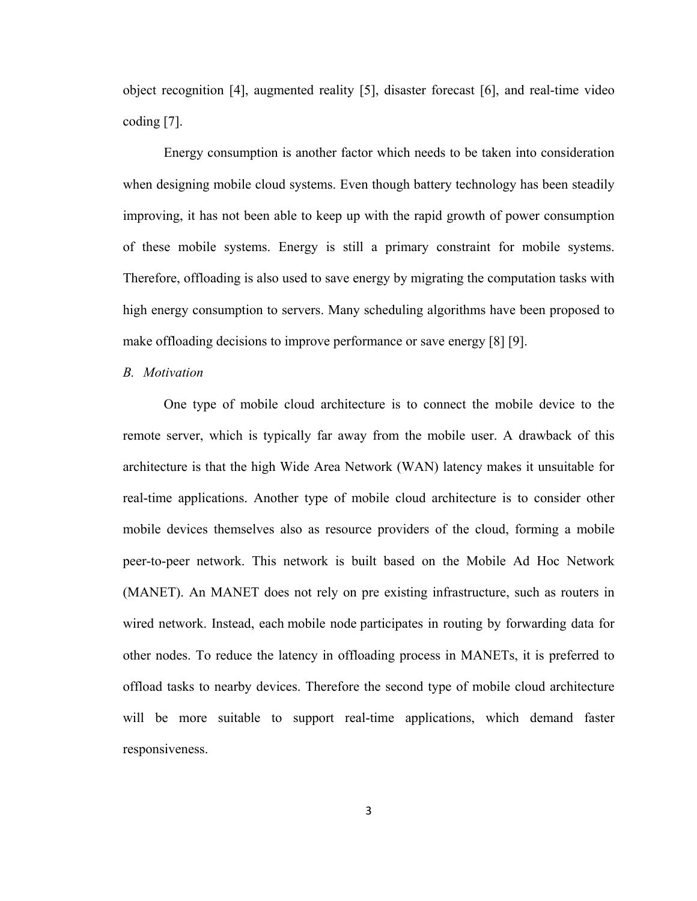object recognition [4], augmented reality [5], disaster forecast [6], and real-time video coding [7].

Energy consumption is another factor which needs to be taken into consideration when designing mobile cloud systems. Even though battery technology has been steadily improving, it has not been able to keep up with the rapid growth of power consumption of these mobile systems. Energy is still a primary constraint for mobile systems. Therefore, offloading is also used to save energy by migrating the computation tasks with high energy consumption to servers. Many scheduling algorithms have been proposed to make offloading decisions to improve performance or save energy [8] [9].

*B. Motivation* 

One type of mobile cloud architecture is to connect the mobile device to the remote server, which is typically far away from the mobile user. A drawback of this architecture is that the high Wide Area Network (WAN) latency makes it unsuitable for real-time applications. Another type of mobile cloud architecture is to consider other mobile devices themselves also as resource providers of the cloud, forming a mobile peer-to-peer network. This network is built based on the Mobile Ad Hoc Network (MANET). An MANET does not rely on pre existing infrastructure, such as routers in wired network. Instead, each mobile node participates in routing by forwarding data for other nodes. To reduce the latency in offloading process in MANETs, it is preferred to offload tasks to nearby devices. Therefore the second type of mobile cloud architecture will be more suitable to support real-time applications, which demand faster responsiveness.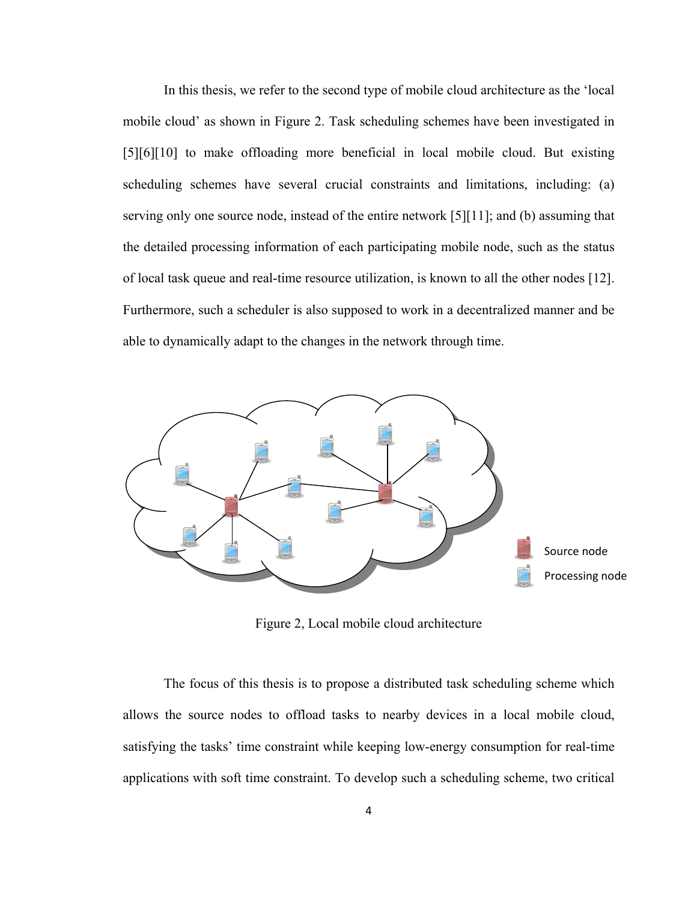In this thesis, we refer to the second type of mobile cloud architecture as the 'local mobile cloud' as shown in Figure 2. Task scheduling schemes have been investigated in [5][6][10] to make offloading more beneficial in local mobile cloud. But existing scheduling schemes have several crucial constraints and limitations, including: (a) serving only one source node, instead of the entire network [5][11]; and (b) assuming that the detailed processing information of each participating mobile node, such as the status of local task queue and real-time resource utilization, is known to all the other nodes [12]. Furthermore, such a scheduler is also supposed to work in a decentralized manner and be able to dynamically adapt to the changes in the network through time.



Figure 2, Local mobile cloud architecture

The focus of this thesis is to propose a distributed task scheduling scheme which allows the source nodes to offload tasks to nearby devices in a local mobile cloud, satisfying the tasks' time constraint while keeping low-energy consumption for real-time applications with soft time constraint. To develop such a scheduling scheme, two critical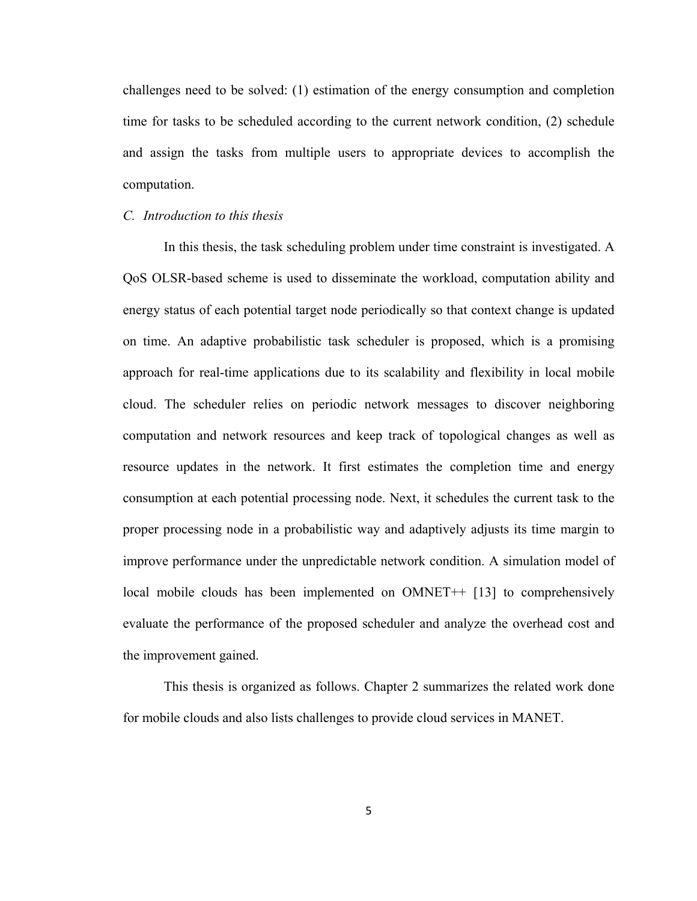challenges need to be solved: (1) estimation of the energy consumption and completion time for tasks to be scheduled according to the current network condition, (2) schedule and assign the tasks from multiple users to appropriate devices to accomplish the computation.

#### *C. Introduction to this thesis*

In this thesis, the task scheduling problem under time constraint is investigated. A QoS OLSR-based scheme is used to disseminate the workload, computation ability and energy status of each potential target node periodically so that context change is updated on time. An adaptive probabilistic task scheduler is proposed, which is a promising approach for real-time applications due to its scalability and flexibility in local mobile cloud. The scheduler relies on periodic network messages to discover neighboring computation and network resources and keep track of topological changes as well as resource updates in the network. It first estimates the completion time and energy consumption at each potential processing node. Next, it schedules the current task to the proper processing node in a probabilistic way and adaptively adjusts its time margin to improve performance under the unpredictable network condition. A simulation model of local mobile clouds has been implemented on OMNET++ [13] to comprehensively evaluate the performance of the proposed scheduler and analyze the overhead cost and the improvement gained.

This thesis is organized as follows. Chapter 2 summarizes the related work done for mobile clouds and also lists challenges to provide cloud services in MANET.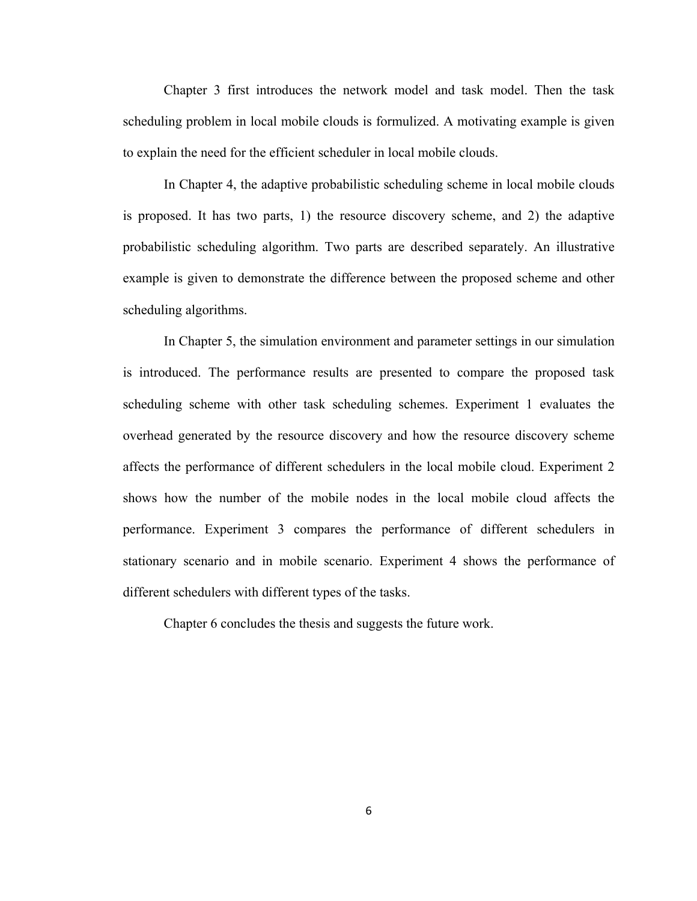Chapter 3 first introduces the network model and task model. Then the task scheduling problem in local mobile clouds is formulized. A motivating example is given to explain the need for the efficient scheduler in local mobile clouds.

In Chapter 4, the adaptive probabilistic scheduling scheme in local mobile clouds is proposed. It has two parts, 1) the resource discovery scheme, and 2) the adaptive probabilistic scheduling algorithm. Two parts are described separately. An illustrative example is given to demonstrate the difference between the proposed scheme and other scheduling algorithms.

In Chapter 5, the simulation environment and parameter settings in our simulation is introduced. The performance results are presented to compare the proposed task scheduling scheme with other task scheduling schemes. Experiment 1 evaluates the overhead generated by the resource discovery and how the resource discovery scheme affects the performance of different schedulers in the local mobile cloud. Experiment 2 shows how the number of the mobile nodes in the local mobile cloud affects the performance. Experiment 3 compares the performance of different schedulers in stationary scenario and in mobile scenario. Experiment 4 shows the performance of different schedulers with different types of the tasks.

Chapter 6 concludes the thesis and suggests the future work.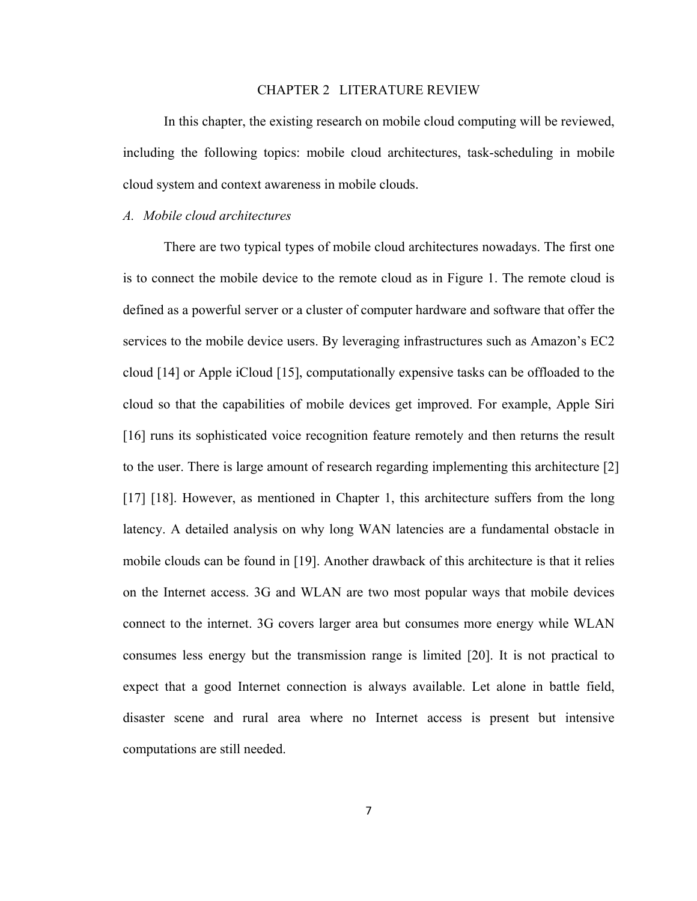#### CHAPTER 2 LITERATURE REVIEW

In this chapter, the existing research on mobile cloud computing will be reviewed, including the following topics: mobile cloud architectures, task-scheduling in mobile cloud system and context awareness in mobile clouds.

#### *A. Mobile cloud architectures*

There are two typical types of mobile cloud architectures nowadays. The first one is to connect the mobile device to the remote cloud as in Figure 1. The remote cloud is defined as a powerful server or a cluster of computer hardware and software that offer the services to the mobile device users. By leveraging infrastructures such as Amazon's EC2 cloud [14] or Apple iCloud [15], computationally expensive tasks can be offloaded to the cloud so that the capabilities of mobile devices get improved. For example, Apple Siri [16] runs its sophisticated voice recognition feature remotely and then returns the result to the user. There is large amount of research regarding implementing this architecture [2] [17] [18]. However, as mentioned in Chapter 1, this architecture suffers from the long latency. A detailed analysis on why long WAN latencies are a fundamental obstacle in mobile clouds can be found in [19]. Another drawback of this architecture is that it relies on the Internet access. 3G and WLAN are two most popular ways that mobile devices connect to the internet. 3G covers larger area but consumes more energy while WLAN consumes less energy but the transmission range is limited [20]. It is not practical to expect that a good Internet connection is always available. Let alone in battle field, disaster scene and rural area where no Internet access is present but intensive computations are still needed.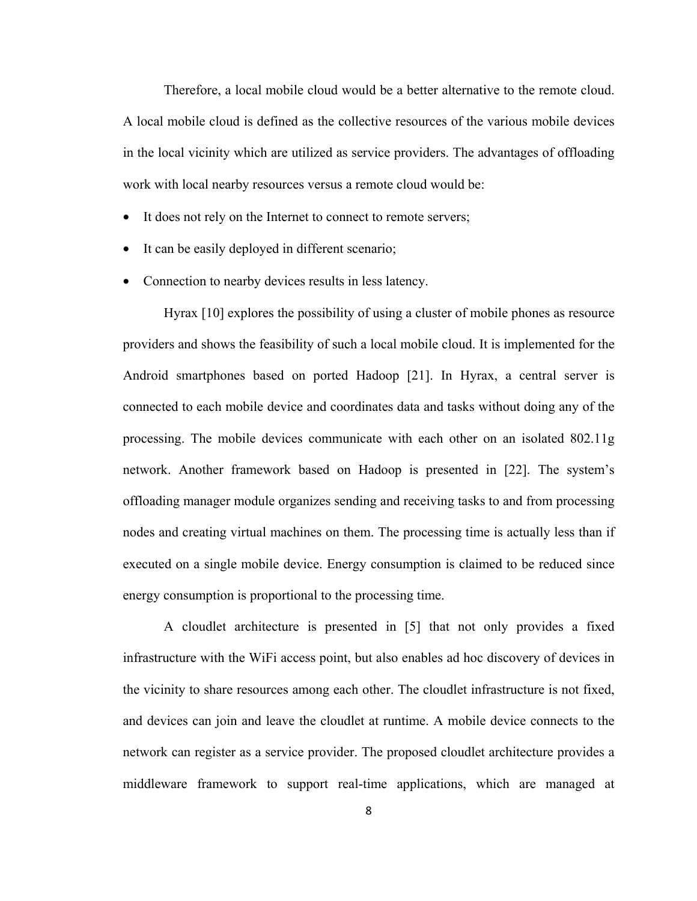Therefore, a local mobile cloud would be a better alternative to the remote cloud. A local mobile cloud is defined as the collective resources of the various mobile devices in the local vicinity which are utilized as service providers. The advantages of offloading work with local nearby resources versus a remote cloud would be:

- It does not rely on the Internet to connect to remote servers;
- It can be easily deployed in different scenario;
- Connection to nearby devices results in less latency.

Hyrax [10] explores the possibility of using a cluster of mobile phones as resource providers and shows the feasibility of such a local mobile cloud. It is implemented for the Android smartphones based on ported Hadoop [21]. In Hyrax, a central server is connected to each mobile device and coordinates data and tasks without doing any of the processing. The mobile devices communicate with each other on an isolated 802.11g network. Another framework based on Hadoop is presented in [22]. The system's offloading manager module organizes sending and receiving tasks to and from processing nodes and creating virtual machines on them. The processing time is actually less than if executed on a single mobile device. Energy consumption is claimed to be reduced since energy consumption is proportional to the processing time.

 A cloudlet architecture is presented in [5] that not only provides a fixed infrastructure with the WiFi access point, but also enables ad hoc discovery of devices in the vicinity to share resources among each other. The cloudlet infrastructure is not fixed, and devices can join and leave the cloudlet at runtime. A mobile device connects to the network can register as a service provider. The proposed cloudlet architecture provides a middleware framework to support real-time applications, which are managed at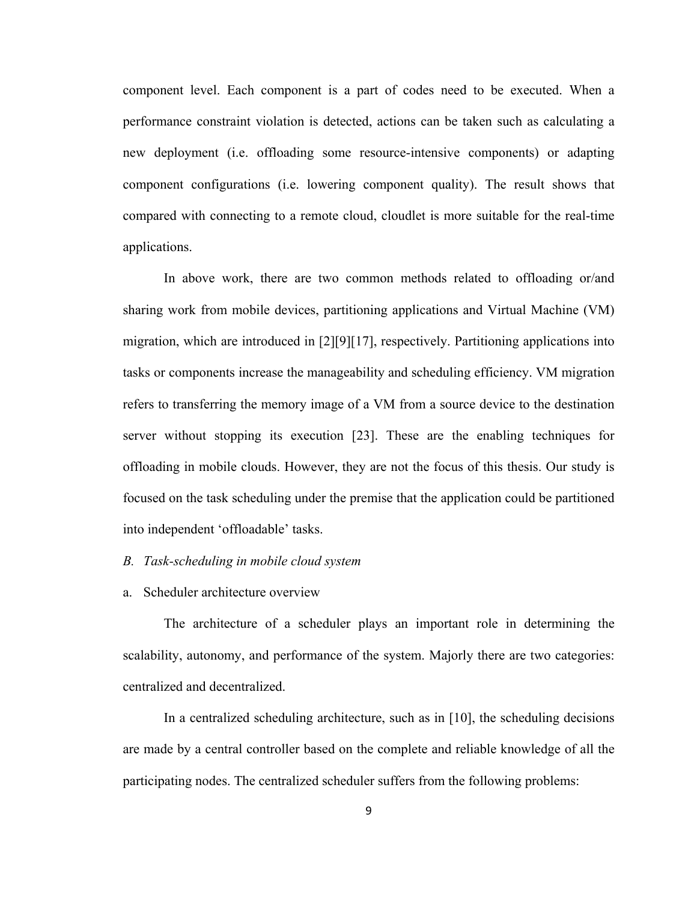component level. Each component is a part of codes need to be executed. When a performance constraint violation is detected, actions can be taken such as calculating a new deployment (i.e. offloading some resource-intensive components) or adapting component configurations (i.e. lowering component quality). The result shows that compared with connecting to a remote cloud, cloudlet is more suitable for the real-time applications.

 In above work, there are two common methods related to offloading or/and sharing work from mobile devices, partitioning applications and Virtual Machine (VM) migration, which are introduced in [2][9][17], respectively. Partitioning applications into tasks or components increase the manageability and scheduling efficiency. VM migration refers to transferring the memory image of a VM from a source device to the destination server without stopping its execution [23]. These are the enabling techniques for offloading in mobile clouds. However, they are not the focus of this thesis. Our study is focused on the task scheduling under the premise that the application could be partitioned into independent 'offloadable' tasks.

#### *B. Task-scheduling in mobile cloud system*

#### a. Scheduler architecture overview

 The architecture of a scheduler plays an important role in determining the scalability, autonomy, and performance of the system. Majorly there are two categories: centralized and decentralized.

In a centralized scheduling architecture, such as in [10], the scheduling decisions are made by a central controller based on the complete and reliable knowledge of all the participating nodes. The centralized scheduler suffers from the following problems: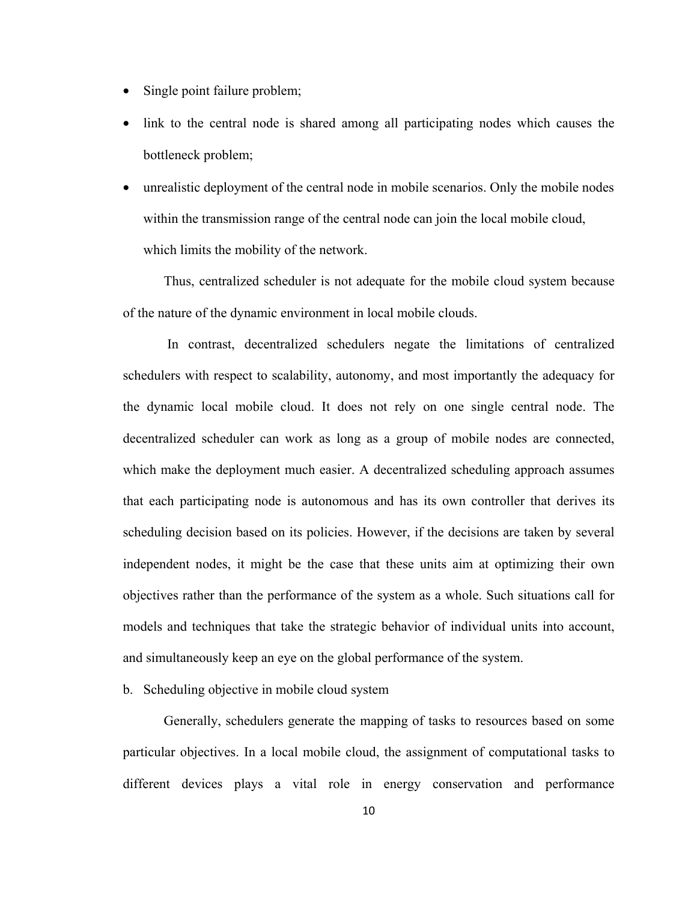- Single point failure problem;
- link to the central node is shared among all participating nodes which causes the bottleneck problem;
- unrealistic deployment of the central node in mobile scenarios. Only the mobile nodes within the transmission range of the central node can join the local mobile cloud, which limits the mobility of the network.

 Thus, centralized scheduler is not adequate for the mobile cloud system because of the nature of the dynamic environment in local mobile clouds.

 In contrast, decentralized schedulers negate the limitations of centralized schedulers with respect to scalability, autonomy, and most importantly the adequacy for the dynamic local mobile cloud. It does not rely on one single central node. The decentralized scheduler can work as long as a group of mobile nodes are connected, which make the deployment much easier. A decentralized scheduling approach assumes that each participating node is autonomous and has its own controller that derives its scheduling decision based on its policies. However, if the decisions are taken by several independent nodes, it might be the case that these units aim at optimizing their own objectives rather than the performance of the system as a whole. Such situations call for models and techniques that take the strategic behavior of individual units into account, and simultaneously keep an eye on the global performance of the system.

#### b. Scheduling objective in mobile cloud system

Generally, schedulers generate the mapping of tasks to resources based on some particular objectives. In a local mobile cloud, the assignment of computational tasks to different devices plays a vital role in energy conservation and performance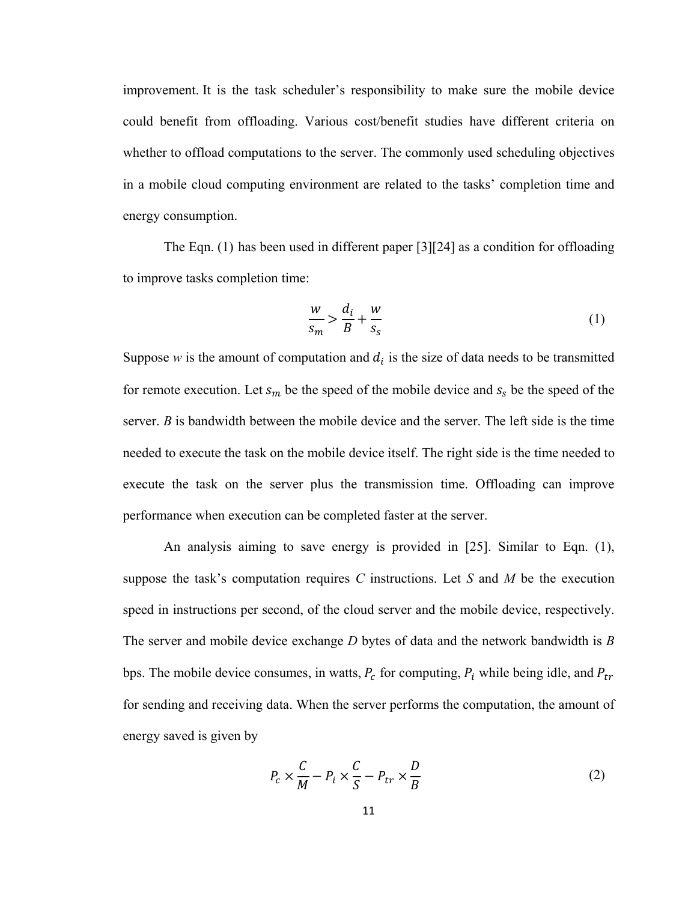improvement. It is the task scheduler's responsibility to make sure the mobile device could benefit from offloading. Various cost/benefit studies have different criteria on whether to offload computations to the server. The commonly used scheduling objectives in a mobile cloud computing environment are related to the tasks' completion time and energy consumption.

The Eqn. (1) has been used in different paper [3][24] as a condition for offloading to improve tasks completion time:

$$
\frac{w}{s_m} > \frac{d_i}{B} + \frac{w}{s_s} \tag{1}
$$

Suppose  $w$  is the amount of computation and  $d_i$  is the size of data needs to be transmitted for remote execution. Let  $s_m$  be the speed of the mobile device and  $s_s$  be the speed of the server. *B* is bandwidth between the mobile device and the server. The left side is the time needed to execute the task on the mobile device itself. The right side is the time needed to execute the task on the server plus the transmission time. Offloading can improve performance when execution can be completed faster at the server.

An analysis aiming to save energy is provided in [25]. Similar to Eqn. (1), suppose the task's computation requires *C* instructions. Let *S* and *M* be the execution speed in instructions per second, of the cloud server and the mobile device, respectively. The server and mobile device exchange *D* bytes of data and the network bandwidth is *B*  bps. The mobile device consumes, in watts,  $P_c$  for computing,  $P_i$  while being idle, and  $P_{tr}$ for sending and receiving data. When the server performs the computation, the amount of energy saved is given by

$$
P_c \times \frac{C}{M} - P_i \times \frac{C}{S} - P_{tr} \times \frac{D}{B}
$$
 (2)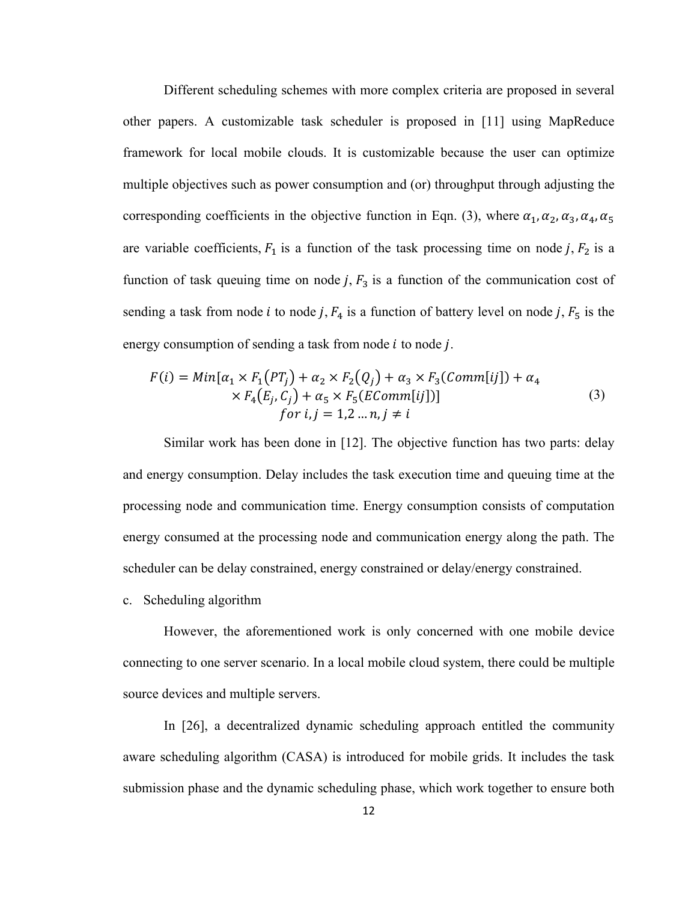Different scheduling schemes with more complex criteria are proposed in several other papers. A customizable task scheduler is proposed in [11] using MapReduce framework for local mobile clouds. It is customizable because the user can optimize multiple objectives such as power consumption and (or) throughput through adjusting the corresponding coefficients in the objective function in Eqn. (3), where  $\alpha_1, \alpha_2, \alpha_3, \alpha_4, \alpha_5$ are variable coefficients,  $F_1$  is a function of the task processing time on node j,  $F_2$  is a function of task queuing time on node  $j$ ,  $F_3$  is a function of the communication cost of sending a task from node *i* to node *j*,  $F_4$  is a function of battery level on node *j*,  $F_5$  is the energy consumption of sending a task from node  $i$  to node  $j$ .

$$
F(i) = Min[\alpha_1 \times F_1(PT_j) + \alpha_2 \times F_2(Q_j) + \alpha_3 \times F_3(Comm[i]) + \alpha_4
$$
  
 
$$
\times F_4(E_j, C_j) + \alpha_5 \times F_5(EComm[i])]
$$
  
for i, j = 1,2 ... n, j \ne i (3)

Similar work has been done in [12]. The objective function has two parts: delay and energy consumption. Delay includes the task execution time and queuing time at the processing node and communication time. Energy consumption consists of computation energy consumed at the processing node and communication energy along the path. The scheduler can be delay constrained, energy constrained or delay/energy constrained.

c. Scheduling algorithm

However, the aforementioned work is only concerned with one mobile device connecting to one server scenario. In a local mobile cloud system, there could be multiple source devices and multiple servers.

 In [26], a decentralized dynamic scheduling approach entitled the community aware scheduling algorithm (CASA) is introduced for mobile grids. It includes the task submission phase and the dynamic scheduling phase, which work together to ensure both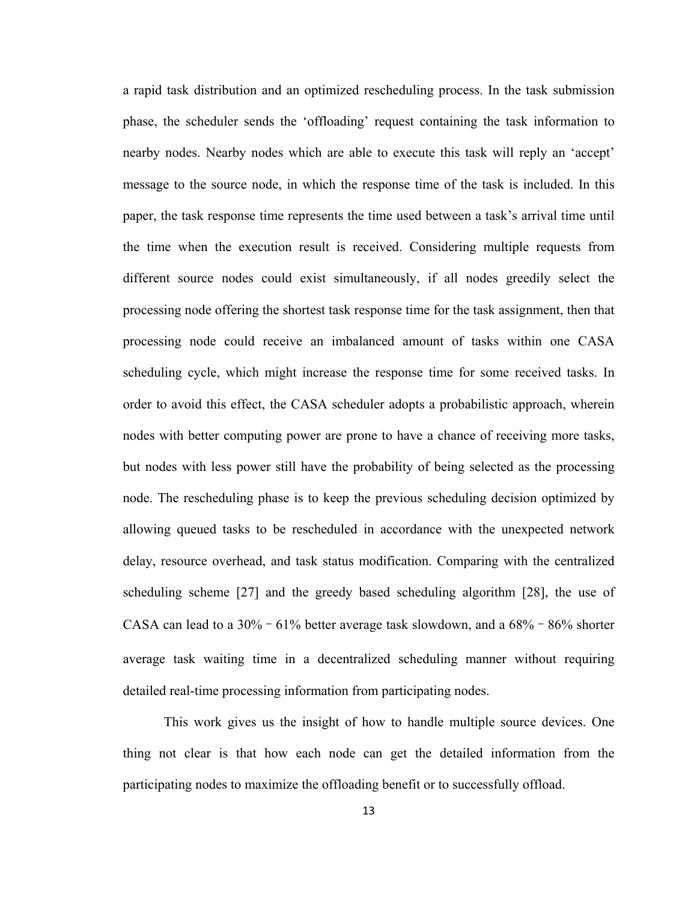a rapid task distribution and an optimized rescheduling process. In the task submission phase, the scheduler sends the 'offloading' request containing the task information to nearby nodes. Nearby nodes which are able to execute this task will reply an 'accept' message to the source node, in which the response time of the task is included. In this paper, the task response time represents the time used between a task's arrival time until the time when the execution result is received. Considering multiple requests from different source nodes could exist simultaneously, if all nodes greedily select the processing node offering the shortest task response time for the task assignment, then that processing node could receive an imbalanced amount of tasks within one CASA scheduling cycle, which might increase the response time for some received tasks. In order to avoid this effect, the CASA scheduler adopts a probabilistic approach, wherein nodes with better computing power are prone to have a chance of receiving more tasks, but nodes with less power still have the probability of being selected as the processing node. The rescheduling phase is to keep the previous scheduling decision optimized by allowing queued tasks to be rescheduled in accordance with the unexpected network delay, resource overhead, and task status modification. Comparing with the centralized scheduling scheme [27] and the greedy based scheduling algorithm [28], the use of CASA can lead to a  $30\%$  –  $61\%$  better average task slowdown, and a  $68\%$  –  $86\%$  shorter average task waiting time in a decentralized scheduling manner without requiring detailed real-time processing information from participating nodes.

This work gives us the insight of how to handle multiple source devices. One thing not clear is that how each node can get the detailed information from the participating nodes to maximize the offloading benefit or to successfully offload.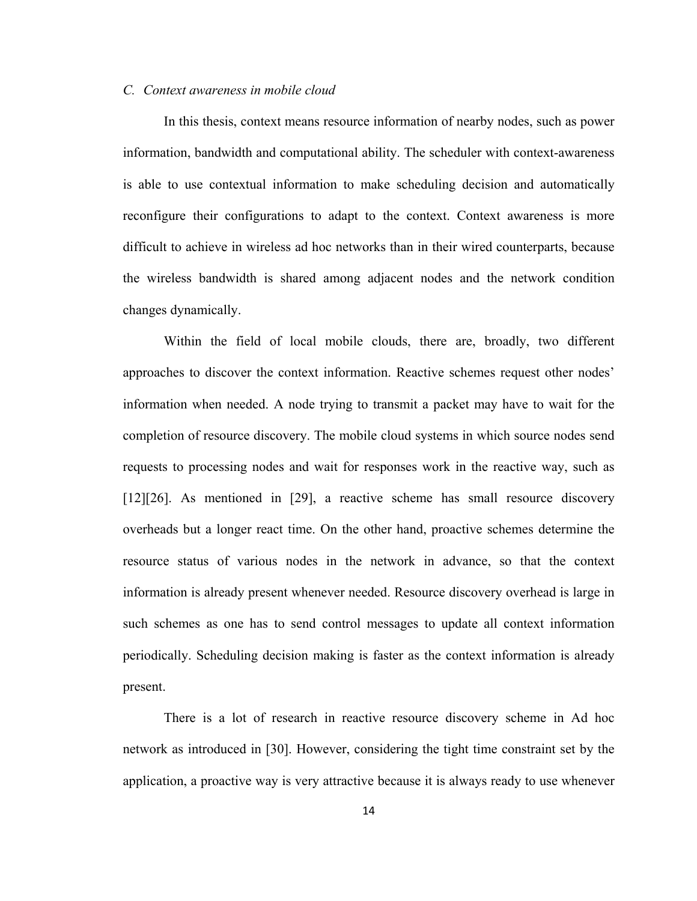#### *C. Context awareness in mobile cloud*

 In this thesis, context means resource information of nearby nodes, such as power information, bandwidth and computational ability. The scheduler with context-awareness is able to use contextual information to make scheduling decision and automatically reconfigure their configurations to adapt to the context. Context awareness is more difficult to achieve in wireless ad hoc networks than in their wired counterparts, because the wireless bandwidth is shared among adjacent nodes and the network condition changes dynamically.

 Within the field of local mobile clouds, there are, broadly, two different approaches to discover the context information. Reactive schemes request other nodes' information when needed. A node trying to transmit a packet may have to wait for the completion of resource discovery. The mobile cloud systems in which source nodes send requests to processing nodes and wait for responses work in the reactive way, such as [12][26]. As mentioned in [29], a reactive scheme has small resource discovery overheads but a longer react time. On the other hand, proactive schemes determine the resource status of various nodes in the network in advance, so that the context information is already present whenever needed. Resource discovery overhead is large in such schemes as one has to send control messages to update all context information periodically. Scheduling decision making is faster as the context information is already present.

There is a lot of research in reactive resource discovery scheme in Ad hoc network as introduced in [30]. However, considering the tight time constraint set by the application, a proactive way is very attractive because it is always ready to use whenever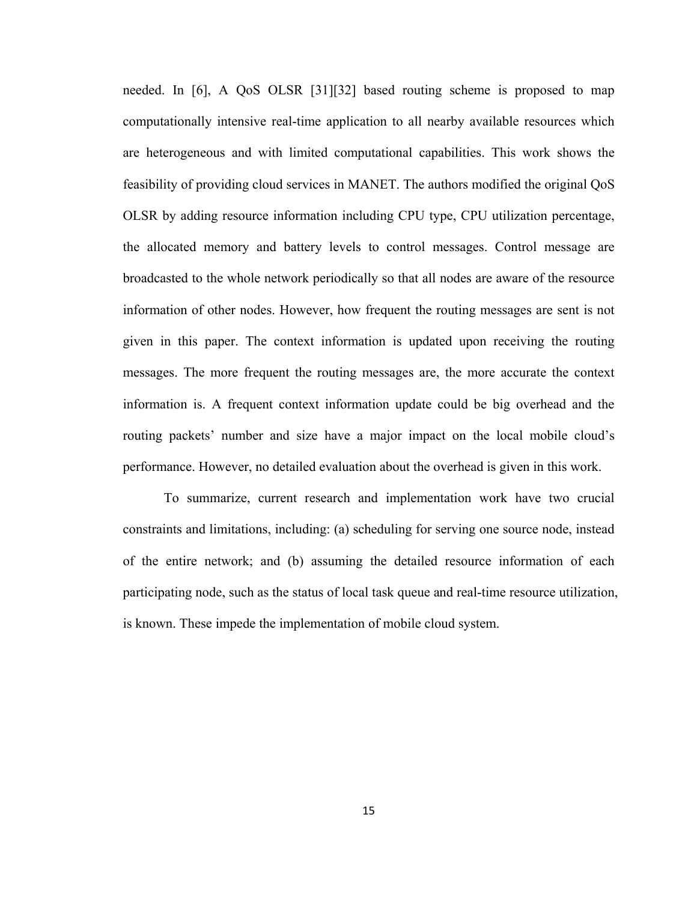needed. In [6], A QoS OLSR [31][32] based routing scheme is proposed to map computationally intensive real-time application to all nearby available resources which are heterogeneous and with limited computational capabilities. This work shows the feasibility of providing cloud services in MANET. The authors modified the original QoS OLSR by adding resource information including CPU type, CPU utilization percentage, the allocated memory and battery levels to control messages. Control message are broadcasted to the whole network periodically so that all nodes are aware of the resource information of other nodes. However, how frequent the routing messages are sent is not given in this paper. The context information is updated upon receiving the routing messages. The more frequent the routing messages are, the more accurate the context information is. A frequent context information update could be big overhead and the routing packets' number and size have a major impact on the local mobile cloud's performance. However, no detailed evaluation about the overhead is given in this work.

To summarize, current research and implementation work have two crucial constraints and limitations, including: (a) scheduling for serving one source node, instead of the entire network; and (b) assuming the detailed resource information of each participating node, such as the status of local task queue and real-time resource utilization, is known. These impede the implementation of mobile cloud system.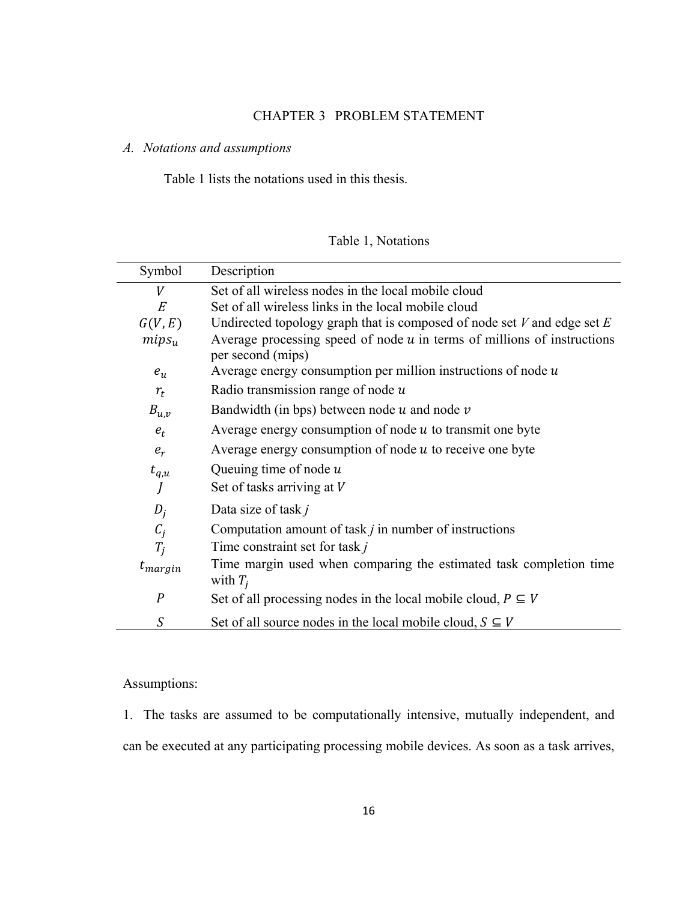#### CHAPTER 3 PROBLEM STATEMENT

## *A. Notations and assumptions*

Table 1 lists the notations used in this thesis.

| Symbol           | Description                                                                                    |  |  |
|------------------|------------------------------------------------------------------------------------------------|--|--|
| V                | Set of all wireless nodes in the local mobile cloud                                            |  |  |
| E                | Set of all wireless links in the local mobile cloud                                            |  |  |
| G(V, E)          | Undirected topology graph that is composed of node set $V$ and edge set $E$                    |  |  |
| $mips_u$         | Average processing speed of node $u$ in terms of millions of instructions<br>per second (mips) |  |  |
| $e_u$            | Average energy consumption per million instructions of node $u$                                |  |  |
| $r_t$            | Radio transmission range of node $u$                                                           |  |  |
| $B_{u,v}$        | Bandwidth (in bps) between node $u$ and node $v$                                               |  |  |
| $e_t$            | Average energy consumption of node $u$ to transmit one byte                                    |  |  |
| $e_r$            | Average energy consumption of node $u$ to receive one byte                                     |  |  |
| $t_{q,u}$        | Queuing time of node $u$                                                                       |  |  |
| J                | Set of tasks arriving at V                                                                     |  |  |
| $D_j$            | Data size of task j                                                                            |  |  |
| $C_j$            | Computation amount of task $j$ in number of instructions                                       |  |  |
| $T_i$            | Time constraint set for task $j$                                                               |  |  |
| $t_{margin}$     | Time margin used when comparing the estimated task completion time<br>with $T_i$               |  |  |
| $\boldsymbol{P}$ | Set of all processing nodes in the local mobile cloud, $P \subseteq V$                         |  |  |
| S                | Set of all source nodes in the local mobile cloud, $S \subseteq V$                             |  |  |

Assumptions:

1. The tasks are assumed to be computationally intensive, mutually independent, and can be executed at any participating processing mobile devices. As soon as a task arrives,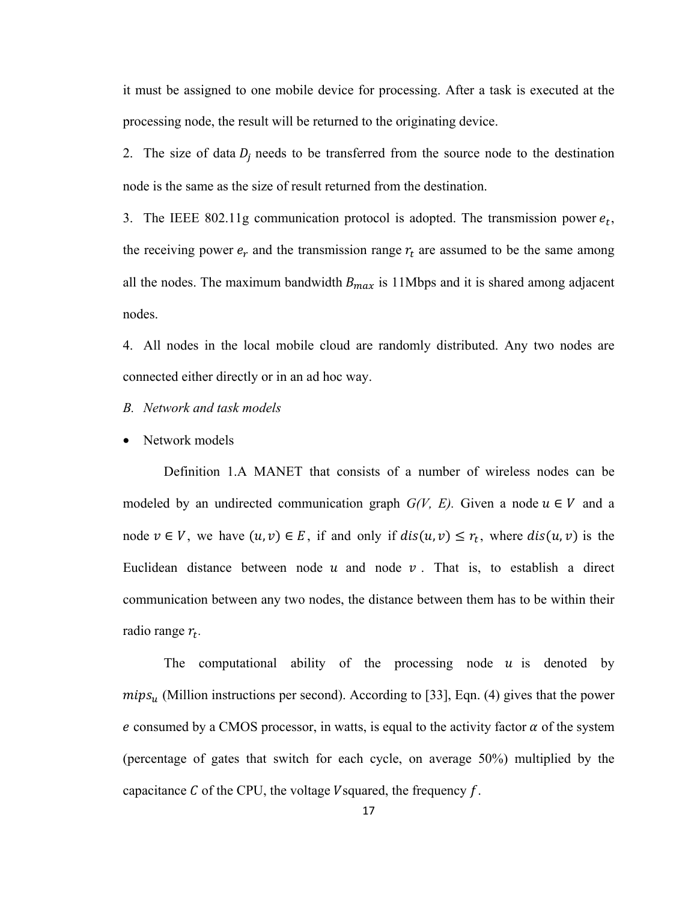it must be assigned to one mobile device for processing. After a task is executed at the processing node, the result will be returned to the originating device.

2. The size of data  $D_i$  needs to be transferred from the source node to the destination node is the same as the size of result returned from the destination.

3. The IEEE 802.11g communication protocol is adopted. The transmission power  $e_t$ , the receiving power  $e_r$  and the transmission range  $r_t$  are assumed to be the same among all the nodes. The maximum bandwidth  $B_{max}$  is 11Mbps and it is shared among adjacent nodes.

4. All nodes in the local mobile cloud are randomly distributed. Any two nodes are connected either directly or in an ad hoc way.

- *B. Network and task models*
- Network models

Definition 1.A MANET that consists of a number of wireless nodes can be modeled by an undirected communication graph  $G(V, E)$ . Given a node  $u \in V$  and a node  $v \in V$ , we have  $(u, v) \in E$ , if and only if  $dis(u, v) \le r_t$ , where  $dis(u, v)$  is the Euclidean distance between node  $u$  and node  $v$ . That is, to establish a direct communication between any two nodes, the distance between them has to be within their radio range  $r_t$ .

The computational ability of the processing node  $u$  is denoted by  $mips_u$  (Million instructions per second). According to [33], Eqn. (4) gives that the power e consumed by a CMOS processor, in watts, is equal to the activity factor  $\alpha$  of the system (percentage of gates that switch for each cycle, on average 50%) multiplied by the capacitance C of the CPU, the voltage V squared, the frequency  $f$ .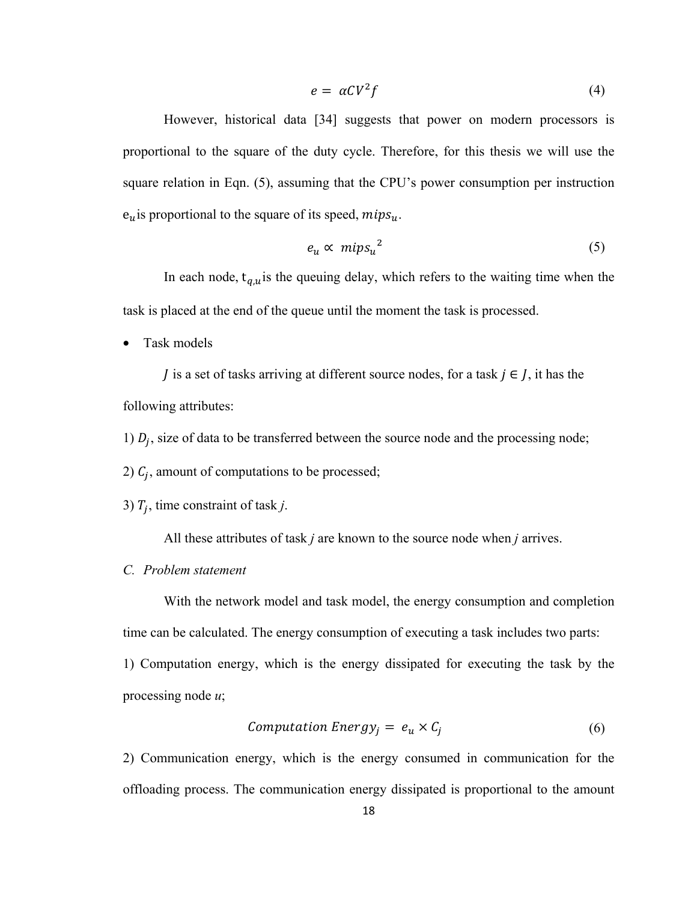$$
e = \alpha CV^2 f \tag{4}
$$

However, historical data [34] suggests that power on modern processors is proportional to the square of the duty cycle. Therefore, for this thesis we will use the square relation in Eqn. (5), assuming that the CPU's power consumption per instruction  $e_u$  is proportional to the square of its speed,  $mips_u$ .

$$
e_u \propto mips_u^2 \tag{5}
$$

In each node,  $t_{a,u}$  is the queuing delay, which refers to the waiting time when the task is placed at the end of the queue until the moment the task is processed.

• Task models

*I* is a set of tasks arriving at different source nodes, for a task  $j \in J$ , it has the following attributes:

1)  $D_i$ , size of data to be transferred between the source node and the processing node;

2)  $C_i$ , amount of computations to be processed;

3)  $T_i$ , time constraint of task *j*.

All these attributes of task *j* are known to the source node when *j* arrives.

#### *C. Problem statement*

With the network model and task model, the energy consumption and completion time can be calculated. The energy consumption of executing a task includes two parts: 1) Computation energy, which is the energy dissipated for executing the task by the processing node *u*;

$$
Computation Energy_j = e_u \times C_j \tag{6}
$$

2) Communication energy, which is the energy consumed in communication for the offloading process. The communication energy dissipated is proportional to the amount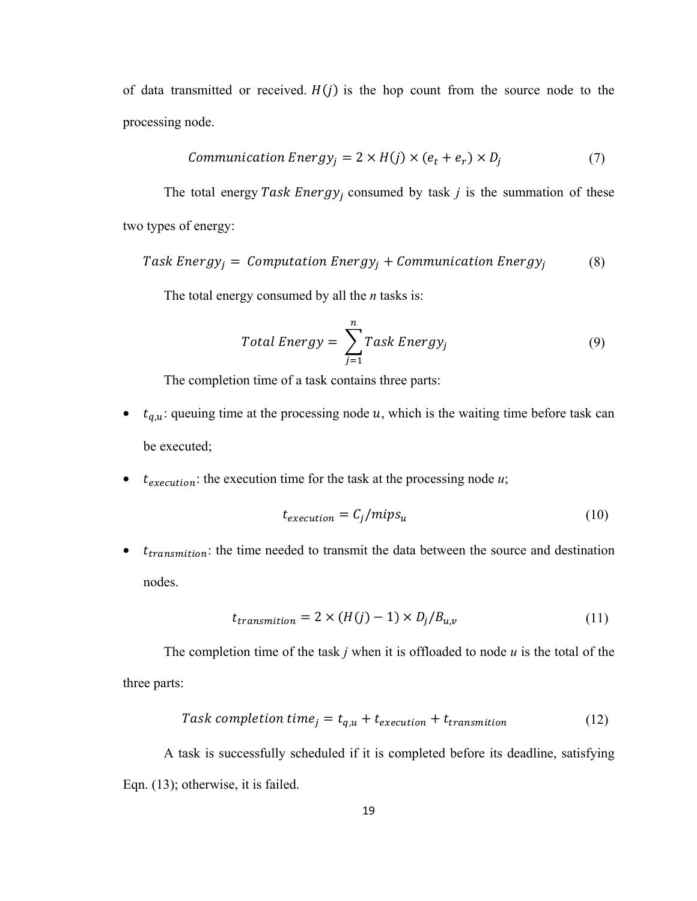of data transmitted or received.  $H(j)$  is the hop count from the source node to the processing node.

$$
Communication Energy_j = 2 \times H(j) \times (e_t + e_r) \times D_j \tag{7}
$$

The total energy Task Energy<sub>i</sub> consumed by task  $j$  is the summation of these two types of energy:

(8) ݕ݃ݎ݊݁ܧ ݊݅ݐ݊݅ܿܽݑ݉݉ܥ + ݕ݃ݎ݊݁ܧ ݊݅ݐܽݐݑ݉ܥ = ݕ݃ݎ݊݁ܧ ݇ݏܶܽ

The total energy consumed by all the *n* tasks is:

$$
Total Energy = \sum_{j=1}^{n} Task Energy_j \tag{9}
$$

The completion time of a task contains three parts:

- $t_{q,u}$ : queuing time at the processing node u, which is the waiting time before task can be executed;
- $t_{execution}$ : the execution time for the task at the processing node  $u$ ;

$$
t_{execution} = C_j / \text{mips}_u \tag{10}
$$

 $\bullet$   $t_{transmition}$ : the time needed to transmit the data between the source and destination nodes.

$$
t_{transmition} = 2 \times (H(j) - 1) \times D_j / B_{u,v}
$$
\n(11)

The completion time of the task *j* when it is offloaded to node *u* is the total of the three parts:

Task completion time<sub>j</sub> = 
$$
t_{q,u}
$$
 +  $t_{execution}$  +  $t_{transmition}$  (12)

A task is successfully scheduled if it is completed before its deadline, satisfying Eqn. (13); otherwise, it is failed.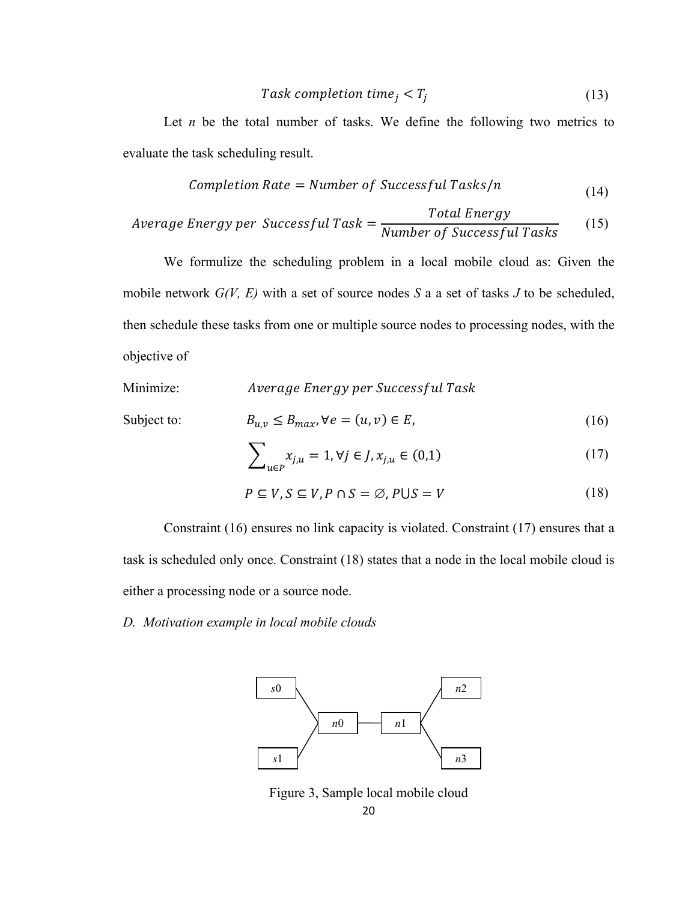$$
Task completion time_j < T_j \tag{13}
$$

Let  $n$  be the total number of tasks. We define the following two metrics to evaluate the task scheduling result.

$$
Completion Rate = Number of Successful Tasks/n
$$
\n(14)

$$
Average Energy per Successful Task = \frac{Total Energy}{Number of Successful Tasks}
$$
 (15)

We formulize the scheduling problem in a local mobile cloud as: Given the mobile network *G(V, E)* with a set of source nodes *S* a a set of tasks *J* to be scheduled, then schedule these tasks from one or multiple source nodes to processing nodes, with the objective of

Minimize: *Average Energy per Successful Task*  
\nSubject to: 
$$
B_{u,v} \leq B_{max}, \forall e = (u, v) \in E,
$$
 (16)  
\n
$$
\sum_{u \in P} x_{j,u} = 1, \forall j \in J, x_{j,u} \in (0,1)
$$
 (17)  
\n
$$
P \subseteq V, S \subseteq V, P \cap S = \emptyset, P \cup S = V
$$
 (18)

 Constraint (16) ensures no link capacity is violated. Constraint (17) ensures that a task is scheduled only once. Constraint (18) states that a node in the local mobile cloud is either a processing node or a source node.

*D. Motivation example in local mobile clouds* 



20 Figure 3, Sample local mobile cloud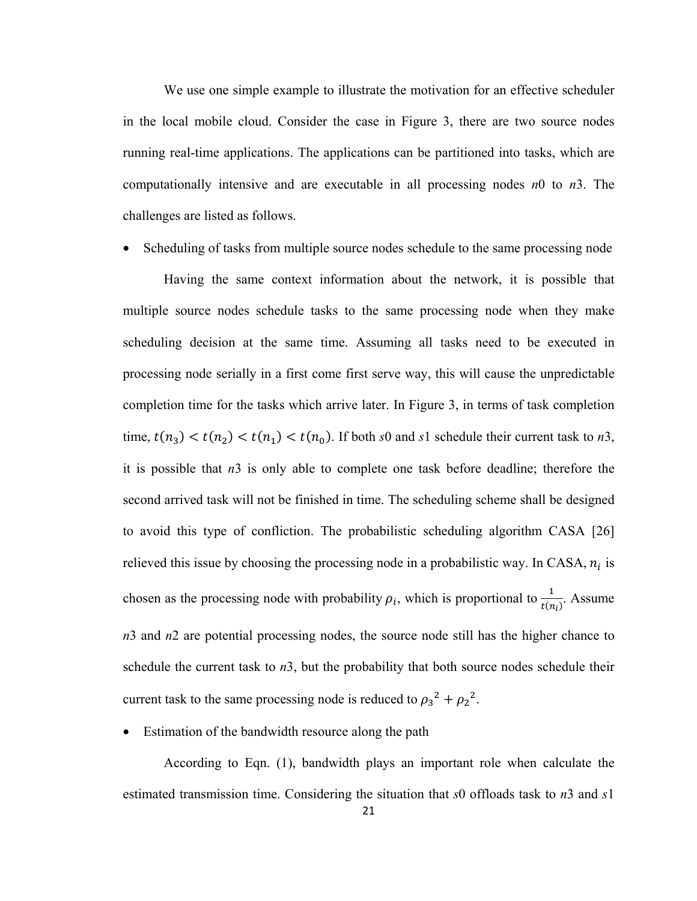We use one simple example to illustrate the motivation for an effective scheduler in the local mobile cloud. Consider the case in Figure 3, there are two source nodes running real-time applications. The applications can be partitioned into tasks, which are computationally intensive and are executable in all processing nodes *n*0 to *n*3. The challenges are listed as follows.

• Scheduling of tasks from multiple source nodes schedule to the same processing node

Having the same context information about the network, it is possible that multiple source nodes schedule tasks to the same processing node when they make scheduling decision at the same time. Assuming all tasks need to be executed in processing node serially in a first come first serve way, this will cause the unpredictable completion time for the tasks which arrive later. In Figure 3, in terms of task completion time,  $t(n_3) < t(n_2) < t(n_1) < t(n_0)$ . If both *s*0 and *s*1 schedule their current task to *n*3, it is possible that *n*3 is only able to complete one task before deadline; therefore the second arrived task will not be finished in time. The scheduling scheme shall be designed to avoid this type of confliction. The probabilistic scheduling algorithm CASA [26] relieved this issue by choosing the processing node in a probabilistic way. In CASA,  $n_i$  is chosen as the processing node with probability  $\rho_i$ , which is proportional to  $\frac{1}{t(n_i)}$ . Assume *n*3 and *n*2 are potential processing nodes, the source node still has the higher chance to schedule the current task to *n*3, but the probability that both source nodes schedule their current task to the same processing node is reduced to  $\rho_3^2 + \rho_2^2$ .

• Estimation of the bandwidth resource along the path

According to Eqn. (1), bandwidth plays an important role when calculate the estimated transmission time. Considering the situation that *s*0 offloads task to *n*3 and *s*1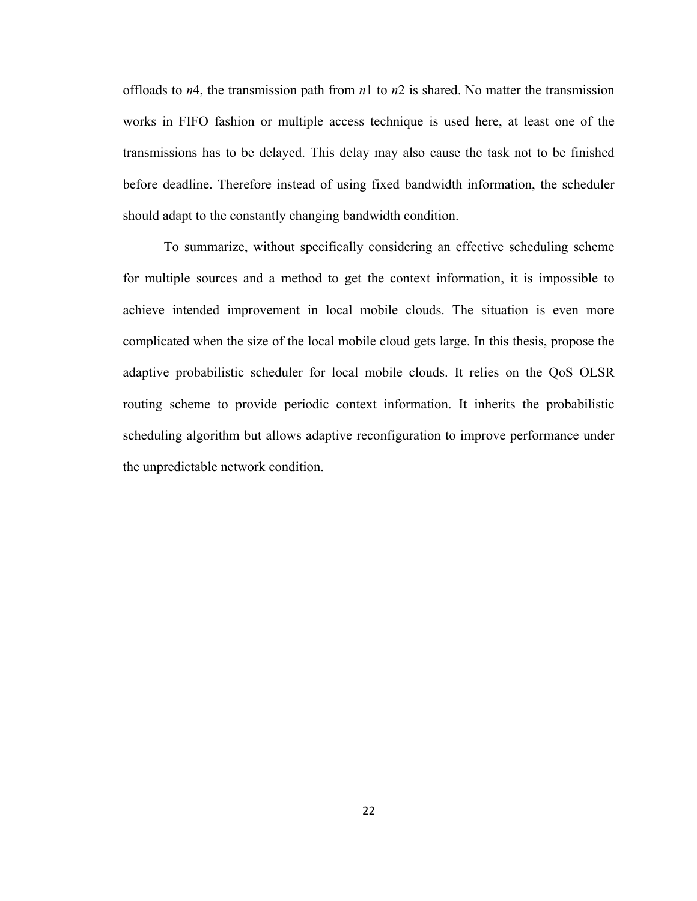offloads to *n*4, the transmission path from *n*1 to *n*2 is shared. No matter the transmission works in FIFO fashion or multiple access technique is used here, at least one of the transmissions has to be delayed. This delay may also cause the task not to be finished before deadline. Therefore instead of using fixed bandwidth information, the scheduler should adapt to the constantly changing bandwidth condition.

To summarize, without specifically considering an effective scheduling scheme for multiple sources and a method to get the context information, it is impossible to achieve intended improvement in local mobile clouds. The situation is even more complicated when the size of the local mobile cloud gets large. In this thesis, propose the adaptive probabilistic scheduler for local mobile clouds. It relies on the QoS OLSR routing scheme to provide periodic context information. It inherits the probabilistic scheduling algorithm but allows adaptive reconfiguration to improve performance under the unpredictable network condition.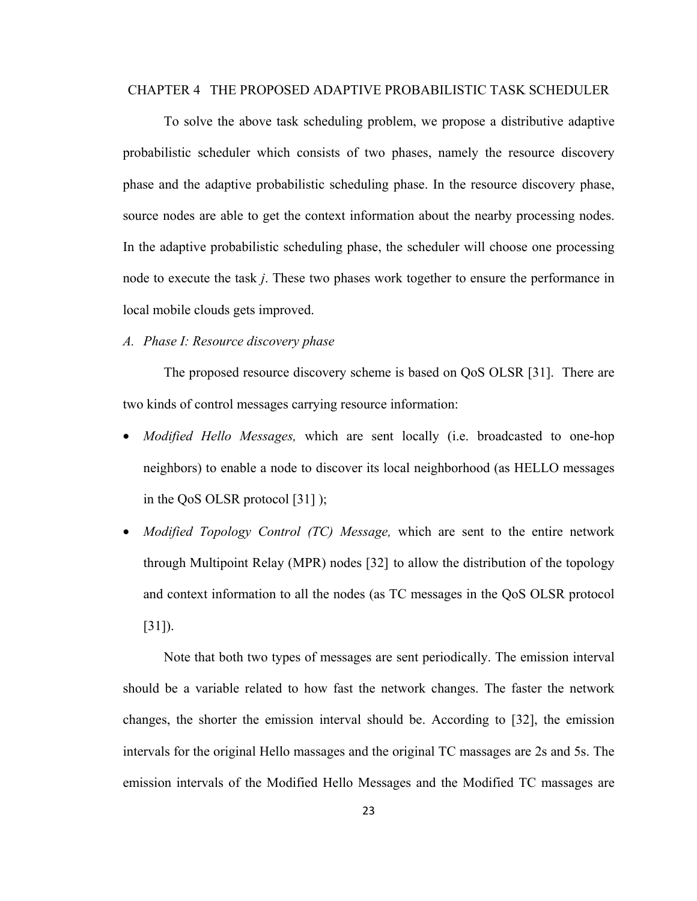#### CHAPTER 4 THE PROPOSED ADAPTIVE PROBABILISTIC TASK SCHEDULER

To solve the above task scheduling problem, we propose a distributive adaptive probabilistic scheduler which consists of two phases, namely the resource discovery phase and the adaptive probabilistic scheduling phase. In the resource discovery phase, source nodes are able to get the context information about the nearby processing nodes. In the adaptive probabilistic scheduling phase, the scheduler will choose one processing node to execute the task *j*. These two phases work together to ensure the performance in local mobile clouds gets improved.

*A. Phase I: Resource discovery phase* 

 The proposed resource discovery scheme is based on QoS OLSR [31]. There are two kinds of control messages carrying resource information:

- *Modified Hello Messages,* which are sent locally (i.e. broadcasted to one-hop neighbors) to enable a node to discover its local neighborhood (as HELLO messages in the QoS OLSR protocol [31] );
- *Modified Topology Control (TC) Message,* which are sent to the entire network through Multipoint Relay (MPR) nodes [32] to allow the distribution of the topology and context information to all the nodes (as TC messages in the QoS OLSR protocol [31]).

 Note that both two types of messages are sent periodically. The emission interval should be a variable related to how fast the network changes. The faster the network changes, the shorter the emission interval should be. According to [32], the emission intervals for the original Hello massages and the original TC massages are 2s and 5s. The emission intervals of the Modified Hello Messages and the Modified TC massages are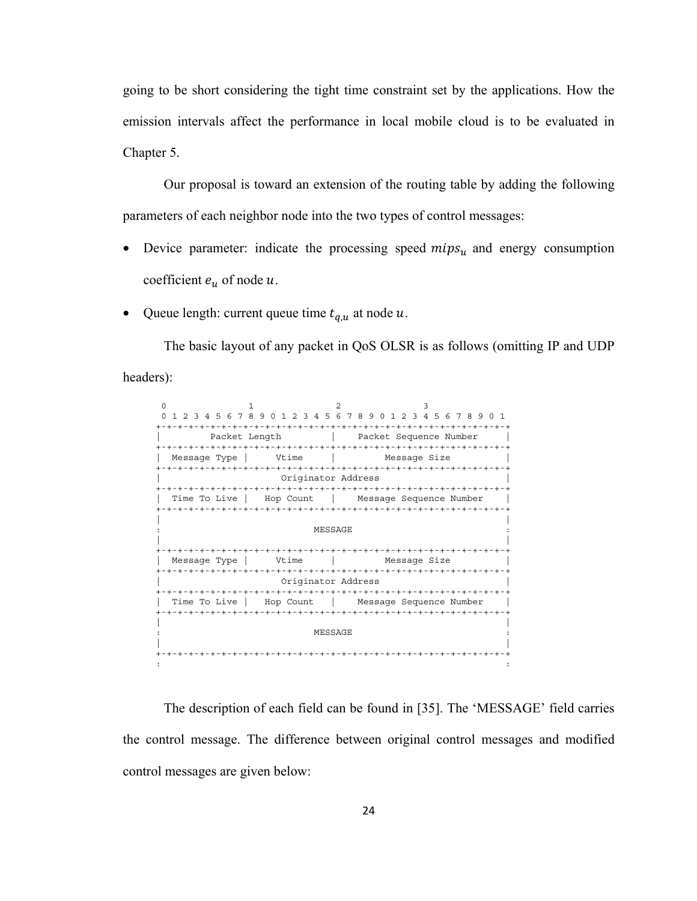going to be short considering the tight time constraint set by the applications. How the emission intervals affect the performance in local mobile cloud is to be evaluated in Chapter 5.

 Our proposal is toward an extension of the routing table by adding the following parameters of each neighbor node into the two types of control messages:

- Device parameter: indicate the processing speed  $mips_u$  and energy consumption coefficient  $e_u$  of node u.
- Queue length: current queue time  $t_{a,u}$  at node  $u$ .

The basic layout of any packet in QoS OLSR is as follows (omitting IP and UDP

headers):



 The description of each field can be found in [35]. The 'MESSAGE' field carries the control message. The difference between original control messages and modified control messages are given below: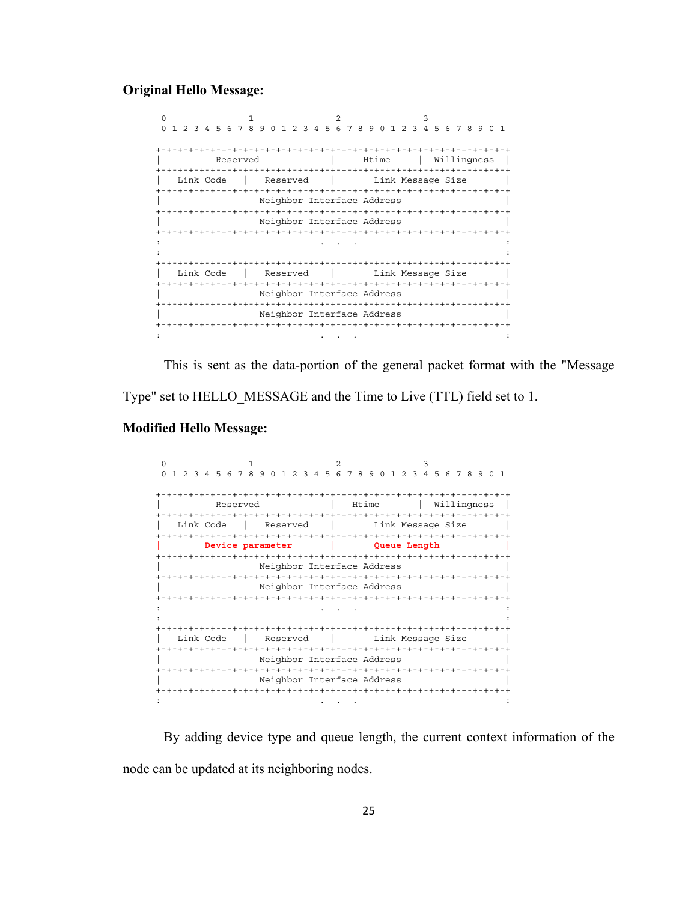**Original Hello Message:** 

 $0$  1 2 3 0 1 2 3 4 5 6 7 8 9 0 1 2 3 4 5 6 7 8 9 0 1 2 3 4 5 6 7 8 9 0 1 +-+-+-+-+-+-+-+-+-+-+-+-+-+-+-+-+-+-+-+-+-+-+-+-+-+-+-+-+-+-+-+-+ | Reserved | Htime | Willingness | +-+-+-+-+-+-+-+-+-+-+-+-+-+-+-+-+-+-+-+-+-+-+-+-+-+-+-+-+-+-+-+-+ | Link Code | Reserved | Link Message Size | +-+-+-+-+-+-+-+-+-+-+-+-+-+-+-+-+-+-+-+-+-+-+-+-+-+-+-+-+-+-+-+-+ Neighbor Interface Address +-+-+-+-+-+-+-+-+-+-+-+-+-+-+-+-+-+-+-+-+-+-+-+-+-+-+-+-+-+-+-+-+ Neighbor Interface Address +-+-+-+-+-+-+-+-+-+-+-+-+-+-+-+-+-+-+-+-+-+-+-+-+-+-+-+-+-+-+-+-+ : . . . : in the second control of the second control of the second control of the second control of the second control o +-+-+-+-+-+-+-+-+-+-+-+-+-+-+-+-+-+-+-+-+-+-+-+-+-+-+-+-+-+-+-+-+ | Link Code | Reserved | Link Message Size | +-+-+-+-+-+-+-+-+-+-+-+-+-+-+-+-+-+-+-+-+-+-+-+-+-+-+-+-+-+-+-+-+ Neighbor Interface Address +-+-+-+-+-+-+-+-+-+-+-+-+-+-+-+-+-+-+-+-+-+-+-+-+-+-+-+-+-+-+-+-+ Neighbor Interface Address +-+-+-+-+-+-+-+-+-+-+-+-+-+-+-+-+-+-+-+-+-+-+-+-+-+-+-+-+-+-+-+-+ : . . . :

 This is sent as the data-portion of the general packet format with the "Message Type" set to HELLO\_MESSAGE and the Time to Live (TTL) field set to 1.

**Modified Hello Message:** 

| $\Omega$                                 |                                           | 1 2 3 4 5 6 7 8 9 0 1 2 3 4 5 6 7 8 9 0 1 2 3 4 5 6 7 8 9 0 1 |
|------------------------------------------|-------------------------------------------|---------------------------------------------------------------|
| +-+-+-+-+-+-+-+-+-+-+-+-+                |                                           |                                                               |
| Reserved                                 |                                           | Htime<br>Willingness                                          |
| Link Code                                | Reserved                                  | Link Message Size                                             |
|                                          | Device parameter                          | Queue Length                                                  |
|                                          | Neighbor Interface Address                |                                                               |
|                                          | Neighbor Interface Address                |                                                               |
|                                          |                                           |                                                               |
|                                          |                                           |                                                               |
| Link Code<br>- + - + - + - + - + - + - + | Reserved<br>$+ - + - + - + - + - + - + -$ | Link Message Size<br>-+-+-+-+-+-+-+-+-+-+-+-+-+-+-+           |
|                                          | Neighbor Interface Address                |                                                               |
|                                          | Neighbor Interface Address                | -+-+-+-+-+-+-+-+-+-+-+-+-+-+-+-+-+-+-+                        |
|                                          |                                           |                                                               |

By adding device type and queue length, the current context information of the node can be updated at its neighboring nodes.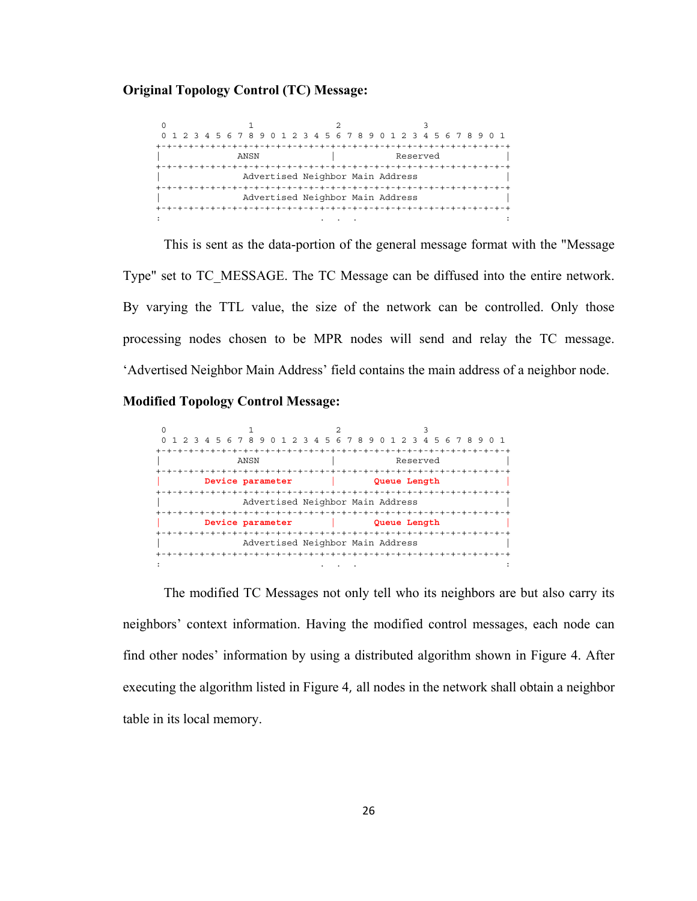#### **Original Topology Control (TC) Message:**

|                                  | 0 1 2 3 4 5 6 7 8 9 0 1 2 3 4 5 6 7 8 9 0 1 2 3 4 5 6 7 8 9 0 1 |                                  |          |  |  |
|----------------------------------|-----------------------------------------------------------------|----------------------------------|----------|--|--|
|                                  |                                                                 |                                  |          |  |  |
|                                  | ANSN                                                            |                                  | Reserved |  |  |
|                                  | -+-+-+-+-+-+-+-+-+-+-+                                          |                                  |          |  |  |
|                                  |                                                                 | Advertised Neighbor Main Address |          |  |  |
|                                  |                                                                 |                                  |          |  |  |
|                                  | Advertised Neighbor Main Address                                |                                  |          |  |  |
| -+-+-+-+-+-+-+-+-+-+-+-+-+-+-+-+ |                                                                 |                                  |          |  |  |
|                                  |                                                                 |                                  |          |  |  |

This is sent as the data-portion of the general message format with the "Message Type" set to TC\_MESSAGE. The TC Message can be diffused into the entire network. By varying the TTL value, the size of the network can be controlled. Only those processing nodes chosen to be MPR nodes will send and relay the TC message. 'Advertised Neighbor Main Address' field contains the main address of a neighbor node.

#### **Modified Topology Control Message:**



The modified TC Messages not only tell who its neighbors are but also carry its neighbors' context information. Having the modified control messages, each node can find other nodes' information by using a distributed algorithm shown in Figure 4. After executing the algorithm listed in Figure 4, all nodes in the network shall obtain a neighbor table in its local memory.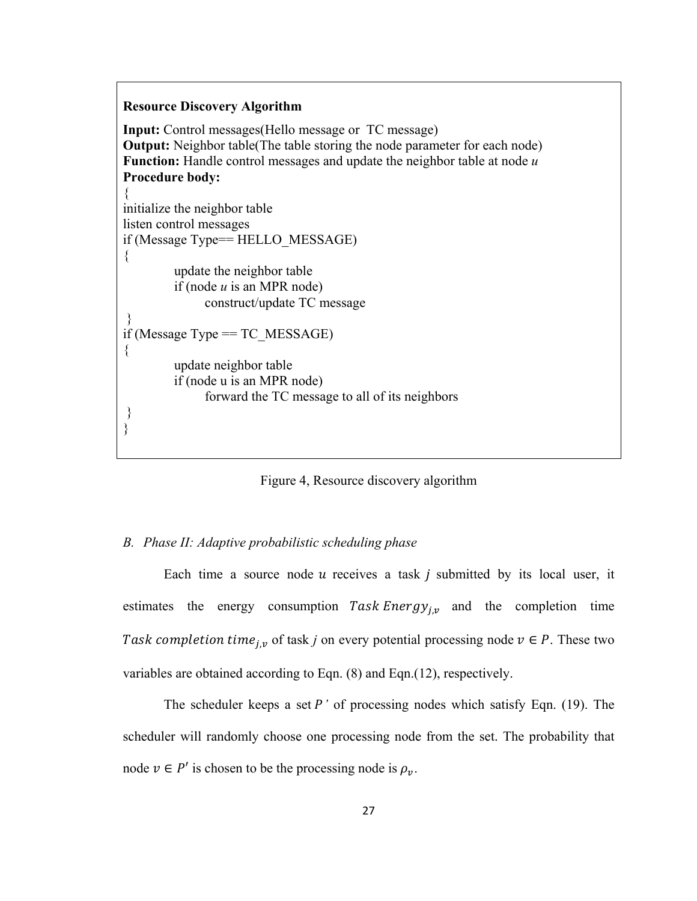#### **Resource Discovery Algorithm**

**Input:** Control messages(Hello message or TC message) **Output:** Neighbor table(The table storing the node parameter for each node) **Function:** Handle control messages and update the neighbor table at node *u* **Procedure body:**  { initialize the neighbor table listen control messages if (Message Type== HELLO\_MESSAGE) { update the neighbor table if (node *u* is an MPR node) construct/update TC message } if (Message Type  $== TC$  MESSAGE) { update neighbor table if (node u is an MPR node) forward the TC message to all of its neighbors } }

Figure 4, Resource discovery algorithm

#### *B. Phase II: Adaptive probabilistic scheduling phase*

Each time a source node  $u$  receives a task  $j$  submitted by its local user, it estimates the energy consumption Task Energy<sub>i,v</sub> and the completion time Task completion time<sub>ix</sub> of task *j* on every potential processing node  $v \in P$ . These two variables are obtained according to Eqn. (8) and Eqn.(12), respectively.

The scheduler keeps a set  $P'$  of processing nodes which satisfy Eqn. (19). The scheduler will randomly choose one processing node from the set. The probability that node  $v \in P'$  is chosen to be the processing node is  $\rho_v$ .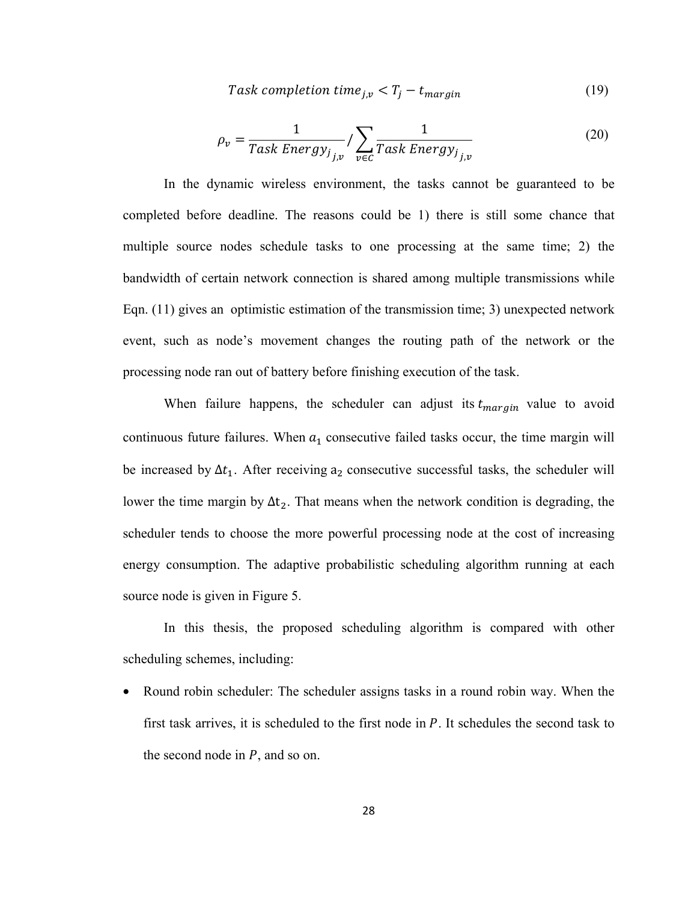Task completion time<sub>j,v</sub> 
$$
< T_j - t_{margin}
$$
 (19)

$$
\rho_v = \frac{1}{Task\ Energy_{j_{j,v}}}/\sum_{v \in C} \frac{1}{Task\ Energy_{j_{j,v}}}
$$
(20)

 In the dynamic wireless environment, the tasks cannot be guaranteed to be completed before deadline. The reasons could be 1) there is still some chance that multiple source nodes schedule tasks to one processing at the same time; 2) the bandwidth of certain network connection is shared among multiple transmissions while Eqn. (11) gives an optimistic estimation of the transmission time; 3) unexpected network event, such as node's movement changes the routing path of the network or the processing node ran out of battery before finishing execution of the task.

When failure happens, the scheduler can adjust its  $t_{margin}$  value to avoid continuous future failures. When  $a_1$  consecutive failed tasks occur, the time margin will be increased by  $\Delta t_1$ . After receiving a<sub>2</sub> consecutive successful tasks, the scheduler will lower the time margin by  $\Delta t_2$ . That means when the network condition is degrading, the scheduler tends to choose the more powerful processing node at the cost of increasing energy consumption. The adaptive probabilistic scheduling algorithm running at each source node is given in Figure 5.

 In this thesis, the proposed scheduling algorithm is compared with other scheduling schemes, including:

• Round robin scheduler: The scheduler assigns tasks in a round robin way. When the first task arrives, it is scheduled to the first node in  $P$ . It schedules the second task to the second node in  $P$ , and so on.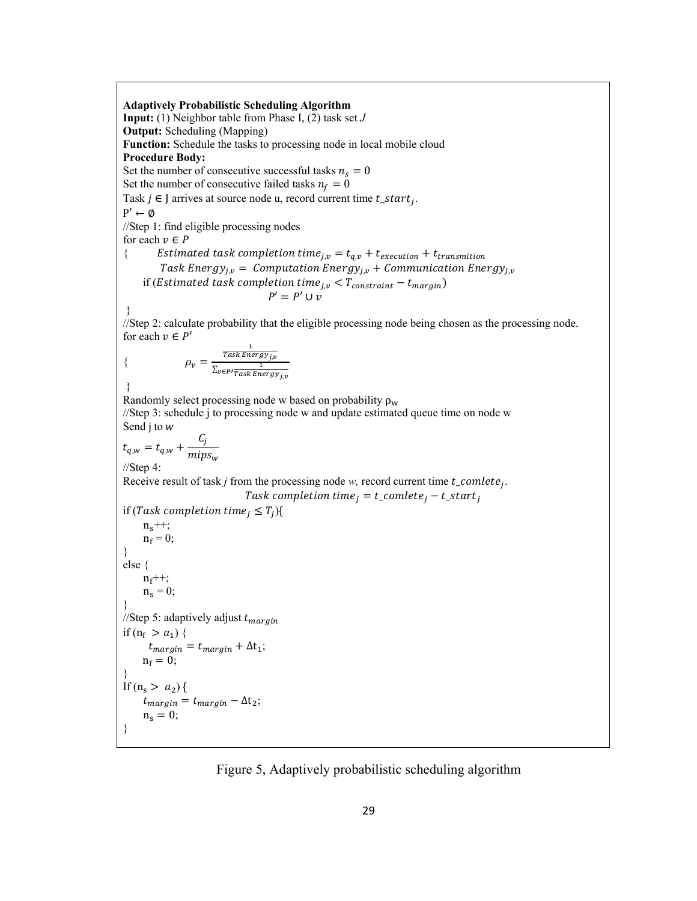**Adaptively Probabilistic Scheduling Algorithm Input:** (1) Neighbor table from Phase I, (2) task set *J* **Output:** Scheduling (Mapping) **Function:** Schedule the tasks to processing node in local mobile cloud **Procedure Body:**  Set the number of consecutive successful tasks  $n_s = 0$ Set the number of consecutive failed tasks  $n_f = 0$ Task  $j \in J$  arrives at source node u, record current time  $t\_start_i$ .  $P' \leftarrow \emptyset$ //Step 1: find eligible processing nodes for each  $v \in P$ {**Estimated task completion time**<sub>j, $v = t_{q,v} + t_{execution} + t_{transmition}$ </sub> Task Energy<sub>j,v</sub> = Computation Energy<sub>j,v</sub> + Communication Energy<sub>j,v</sub> if (Estimated task completion time<sub>j, $v$ </sub> <  $T_{constraint} - t_{margin}$ )  $P' = P' \cup v$  } //Step 2: calculate probability that the eligible processing node being chosen as the processing node. for each  $v \in P'$ {  $\rho_v =$ nask Energy <sub>j,v</sub>  $\Sigma$ v $\in$ P† $\frac{1}{Task\,Energy_{j,\mathcal{V}}}$  } Randomly select processing node w based on probability  $\rho_w$ //Step 3: schedule j to processing node w and update estimated queue time on node w Send j to  $w$  $t_{q,w} = t_{q,w} + \frac{C_j}{\min}$  $_{mips_w}$ //Step 4: Receive result of task *j* from the processing node *w*, record current time  $t$ \_*comlete<sub>i</sub>*. Task completion time  $_i = t$ \_comlete  $_i - t$ \_start  $_i$ if (Task completion time  $_{i} \leq T_{i}$ ){  $n<sub>s</sub>$ ++;  $n_f = 0;$ } else {  $n_f$ ++;  $n_e = 0$ ; } //Step 5: adaptively adjust  $t_{margin}$ if  $(n_f > a_1)$  {  $t_{margin} = t_{margin} + \Delta t_1;$  $n_f = 0$ ; } If  $(n_s > a_2)$  {  $t_{margin} = t_{margin} - \Delta t_2;$  $n_s = 0;$ }

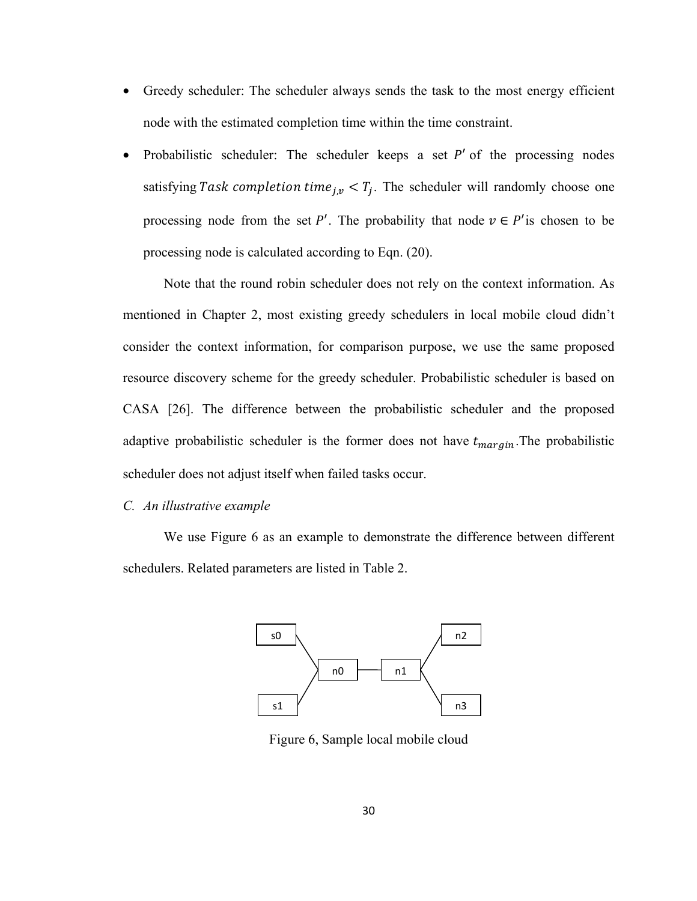- Greedy scheduler: The scheduler always sends the task to the most energy efficient node with the estimated completion time within the time constraint.
- Probabilistic scheduler: The scheduler keeps a set  $P'$  of the processing nodes satisfying Task completion time<sub>j, $v < T_i$ . The scheduler will randomly choose one</sub> processing node from the set P'. The probability that node  $v \in P'$  is chosen to be processing node is calculated according to Eqn. (20).

 Note that the round robin scheduler does not rely on the context information. As mentioned in Chapter 2, most existing greedy schedulers in local mobile cloud didn't consider the context information, for comparison purpose, we use the same proposed resource discovery scheme for the greedy scheduler. Probabilistic scheduler is based on CASA [26]. The difference between the probabilistic scheduler and the proposed adaptive probabilistic scheduler is the former does not have  $t_{margin}$ . The probabilistic scheduler does not adjust itself when failed tasks occur.

#### *C. An illustrative example*

 We use Figure 6 as an example to demonstrate the difference between different schedulers. Related parameters are listed in Table 2.



Figure 6, Sample local mobile cloud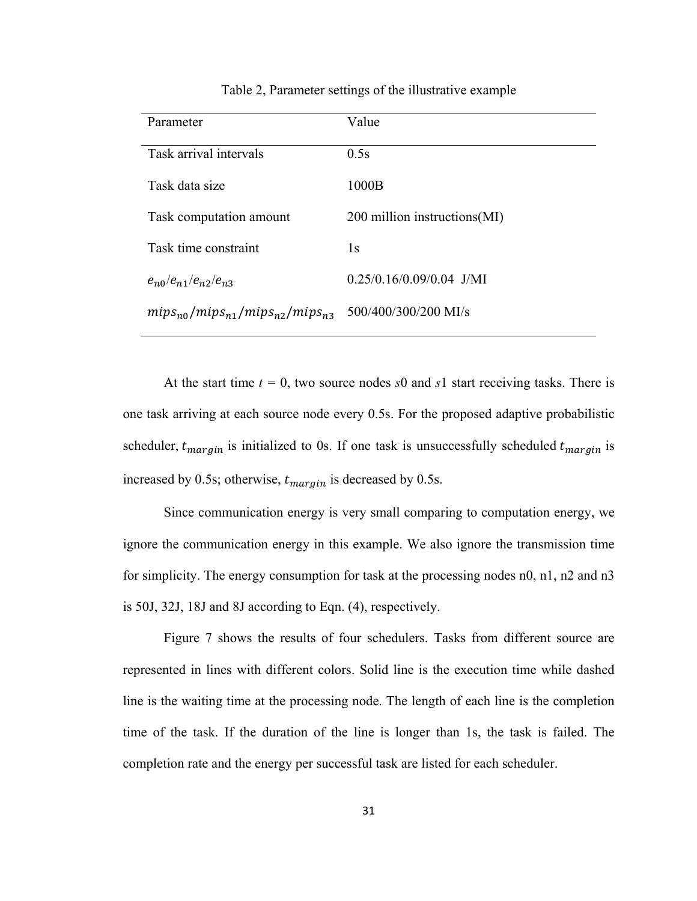| Parameter                                 | Value                         |
|-------------------------------------------|-------------------------------|
| Task arrival intervals                    | 0.5s                          |
| Task data size                            | 1000B                         |
| Task computation amount                   | 200 million instructions (MI) |
| Task time constraint                      | 1s                            |
| $e_{n0}/e_{n1}/e_{n2}/e_{n3}$             | $0.25/0.16/0.09/0.04$ J/MI    |
| $mips_{n0}/mips_{n1}/mips_{n2}/mips_{n3}$ | 500/400/300/200 MI/s          |

#### Table 2, Parameter settings of the illustrative example

At the start time  $t = 0$ , two source nodes  $s0$  and  $s1$  start receiving tasks. There is one task arriving at each source node every 0.5s. For the proposed adaptive probabilistic scheduler,  $t_{margin}$  is initialized to 0s. If one task is unsuccessfully scheduled  $t_{margin}$  is increased by 0.5s; otherwise,  $t_{margin}$  is decreased by 0.5s.

 Since communication energy is very small comparing to computation energy, we ignore the communication energy in this example. We also ignore the transmission time for simplicity. The energy consumption for task at the processing nodes n0, n1, n2 and n3 is 50J, 32J, 18J and 8J according to Eqn. (4), respectively.

 Figure 7 shows the results of four schedulers. Tasks from different source are represented in lines with different colors. Solid line is the execution time while dashed line is the waiting time at the processing node. The length of each line is the completion time of the task. If the duration of the line is longer than 1s, the task is failed. The completion rate and the energy per successful task are listed for each scheduler.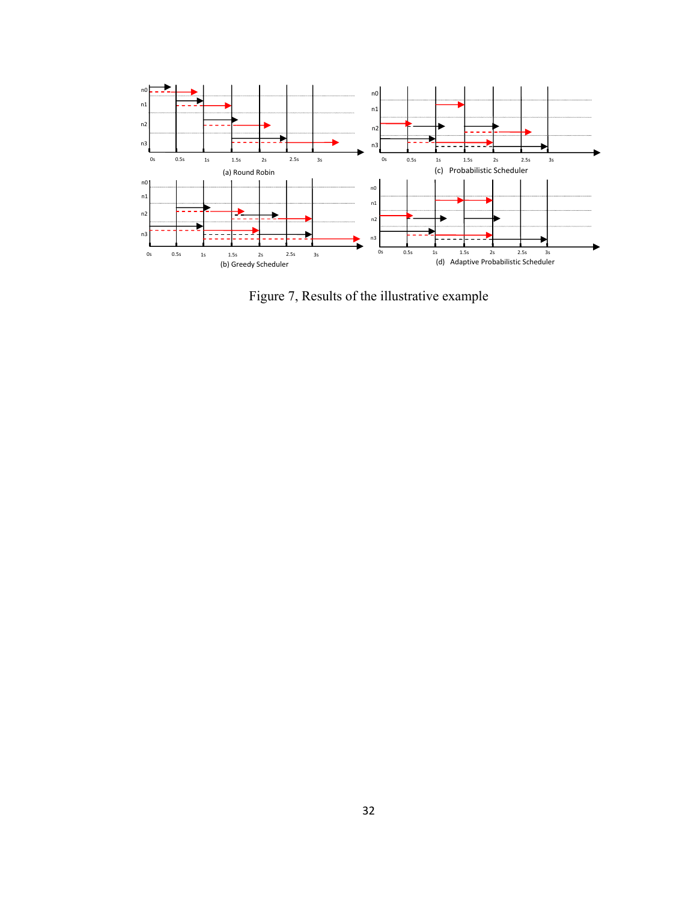

Figure 7, Results of the illustrative example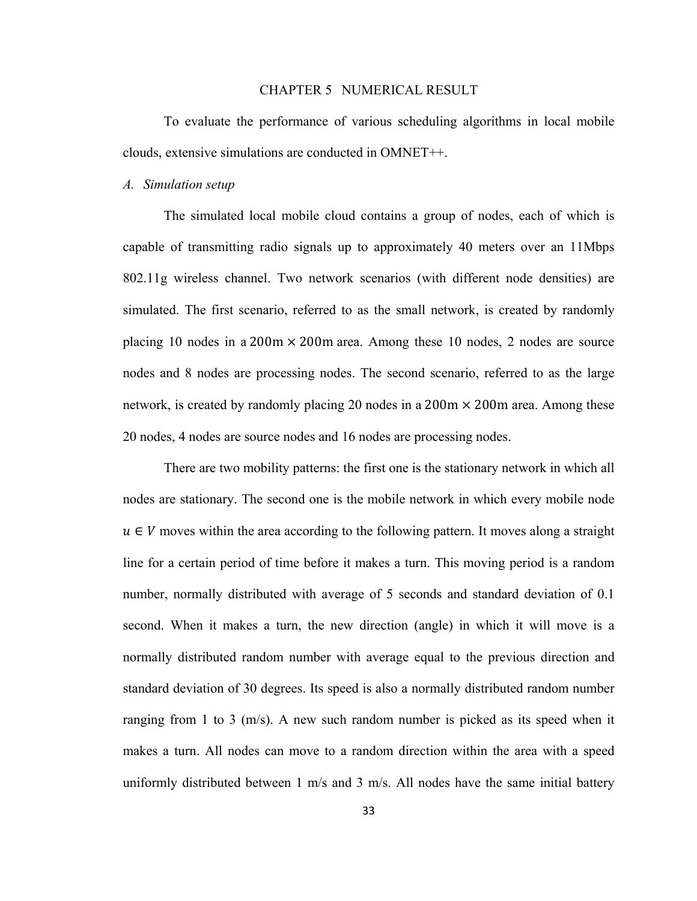#### CHAPTER 5 NUMERICAL RESULT

To evaluate the performance of various scheduling algorithms in local mobile clouds, extensive simulations are conducted in OMNET++.

#### *A. Simulation setup*

The simulated local mobile cloud contains a group of nodes, each of which is capable of transmitting radio signals up to approximately 40 meters over an 11Mbps 802.11g wireless channel. Two network scenarios (with different node densities) are simulated. The first scenario, referred to as the small network, is created by randomly placing 10 nodes in a  $200 \text{m} \times 200 \text{m}$  area. Among these 10 nodes, 2 nodes are source nodes and 8 nodes are processing nodes. The second scenario, referred to as the large network, is created by randomly placing 20 nodes in a  $200m \times 200m$  area. Among these 20 nodes, 4 nodes are source nodes and 16 nodes are processing nodes.

There are two mobility patterns: the first one is the stationary network in which all nodes are stationary. The second one is the mobile network in which every mobile node  $u \in V$  moves within the area according to the following pattern. It moves along a straight line for a certain period of time before it makes a turn. This moving period is a random number, normally distributed with average of 5 seconds and standard deviation of 0.1 second. When it makes a turn, the new direction (angle) in which it will move is a normally distributed random number with average equal to the previous direction and standard deviation of 30 degrees. Its speed is also a normally distributed random number ranging from 1 to 3 (m/s). A new such random number is picked as its speed when it makes a turn. All nodes can move to a random direction within the area with a speed uniformly distributed between 1 m/s and 3 m/s. All nodes have the same initial battery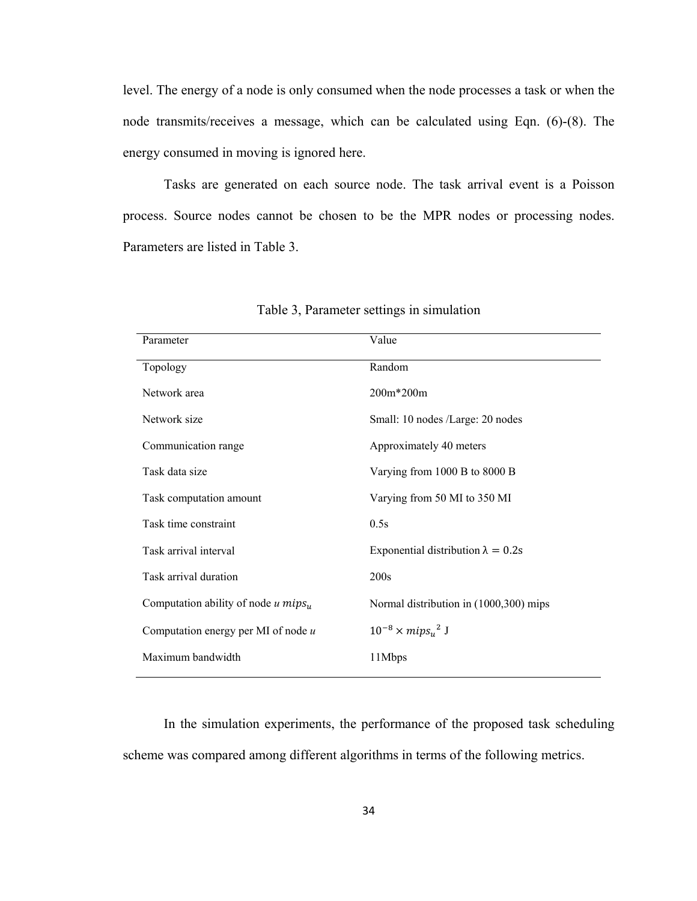level. The energy of a node is only consumed when the node processes a task or when the node transmits/receives a message, which can be calculated using Eqn. (6)-(8). The energy consumed in moving is ignored here.

Tasks are generated on each source node. The task arrival event is a Poisson process. Source nodes cannot be chosen to be the MPR nodes or processing nodes. Parameters are listed in Table 3.

| Parameter                              | Value                                      |
|----------------------------------------|--------------------------------------------|
| Topology                               | Random                                     |
| Network area                           | 200m*200m                                  |
| Network size                           | Small: 10 nodes /Large: 20 nodes           |
| Communication range                    | Approximately 40 meters                    |
| Task data size                         | Varying from 1000 B to 8000 B              |
| Task computation amount                | Varying from 50 MI to 350 MI               |
| Task time constraint                   | 0.5s                                       |
| Task arrival interval                  | Exponential distribution $\lambda = 0.2$ s |
| Task arrival duration                  | 200s                                       |
| Computation ability of node u $mips_u$ | Normal distribution in (1000,300) mips     |
| Computation energy per MI of node $u$  | $10^{-8} \times mips_u^2$ J                |
| Maximum bandwidth                      | 11Mbps                                     |

Table 3, Parameter settings in simulation

In the simulation experiments, the performance of the proposed task scheduling scheme was compared among different algorithms in terms of the following metrics.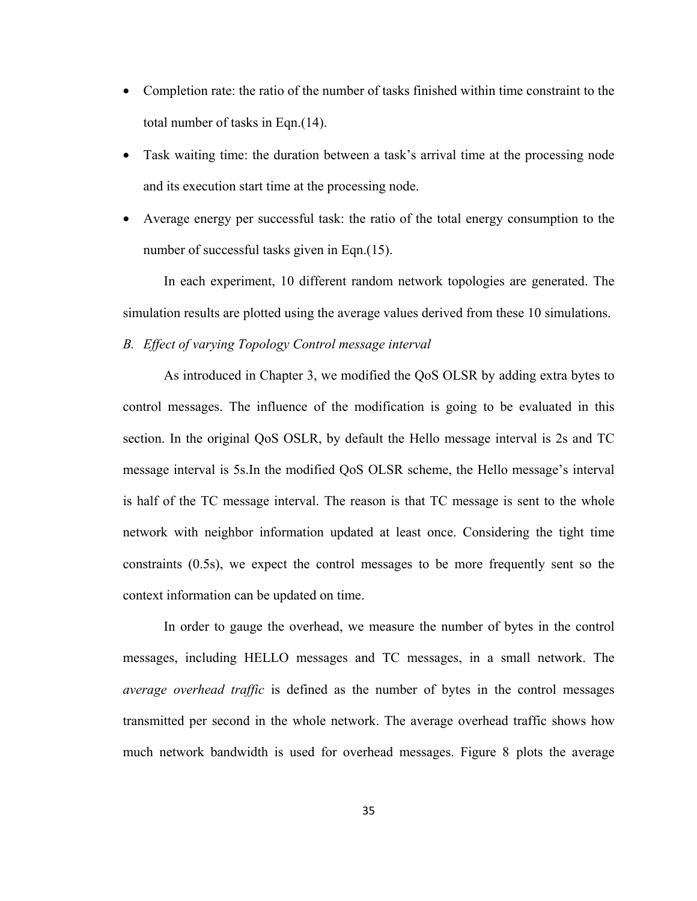- Completion rate: the ratio of the number of tasks finished within time constraint to the total number of tasks in Eqn.(14).
- Task waiting time: the duration between a task's arrival time at the processing node and its execution start time at the processing node.
- Average energy per successful task: the ratio of the total energy consumption to the number of successful tasks given in Eqn.(15).

In each experiment, 10 different random network topologies are generated. The simulation results are plotted using the average values derived from these 10 simulations.

*B. Effect of varying Topology Control message interval* 

 As introduced in Chapter 3, we modified the QoS OLSR by adding extra bytes to control messages. The influence of the modification is going to be evaluated in this section. In the original QoS OSLR, by default the Hello message interval is 2s and TC message interval is 5s.In the modified QoS OLSR scheme, the Hello message's interval is half of the TC message interval. The reason is that TC message is sent to the whole network with neighbor information updated at least once. Considering the tight time constraints (0.5s), we expect the control messages to be more frequently sent so the context information can be updated on time.

 In order to gauge the overhead, we measure the number of bytes in the control messages, including HELLO messages and TC messages, in a small network. The *average overhead traffic* is defined as the number of bytes in the control messages transmitted per second in the whole network. The average overhead traffic shows how much network bandwidth is used for overhead messages. Figure 8 plots the average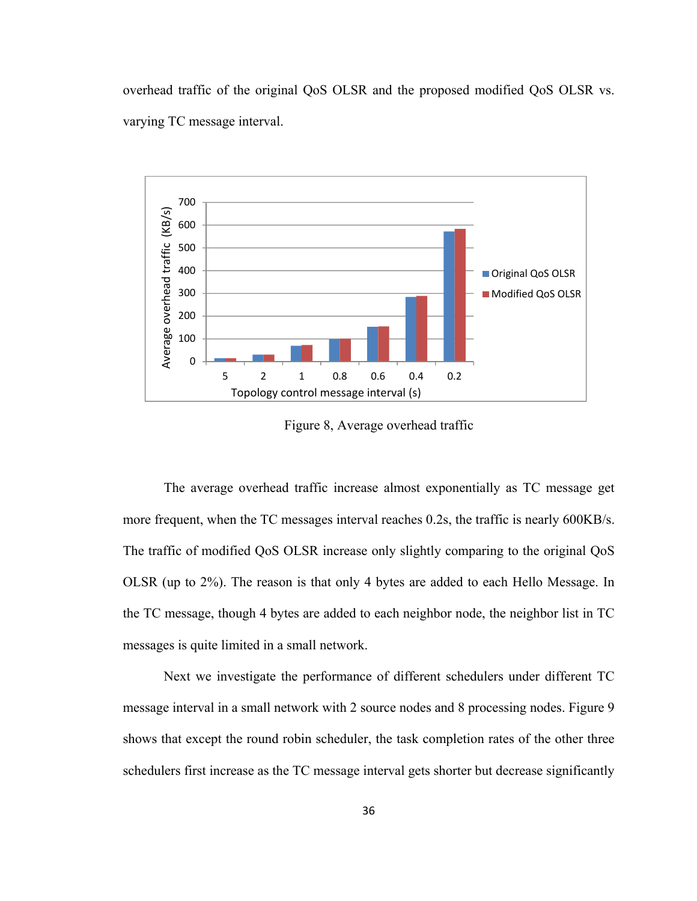overhead traffic of the original QoS OLSR and the proposed modified QoS OLSR vs. varying TC message interval.



Figure 8, Average overhead traffic

The average overhead traffic increase almost exponentially as TC message get more frequent, when the TC messages interval reaches 0.2s, the traffic is nearly 600KB/s. The traffic of modified QoS OLSR increase only slightly comparing to the original QoS OLSR (up to 2%). The reason is that only 4 bytes are added to each Hello Message. In the TC message, though 4 bytes are added to each neighbor node, the neighbor list in TC messages is quite limited in a small network.

Next we investigate the performance of different schedulers under different TC message interval in a small network with 2 source nodes and 8 processing nodes. Figure 9 shows that except the round robin scheduler, the task completion rates of the other three schedulers first increase as the TC message interval gets shorter but decrease significantly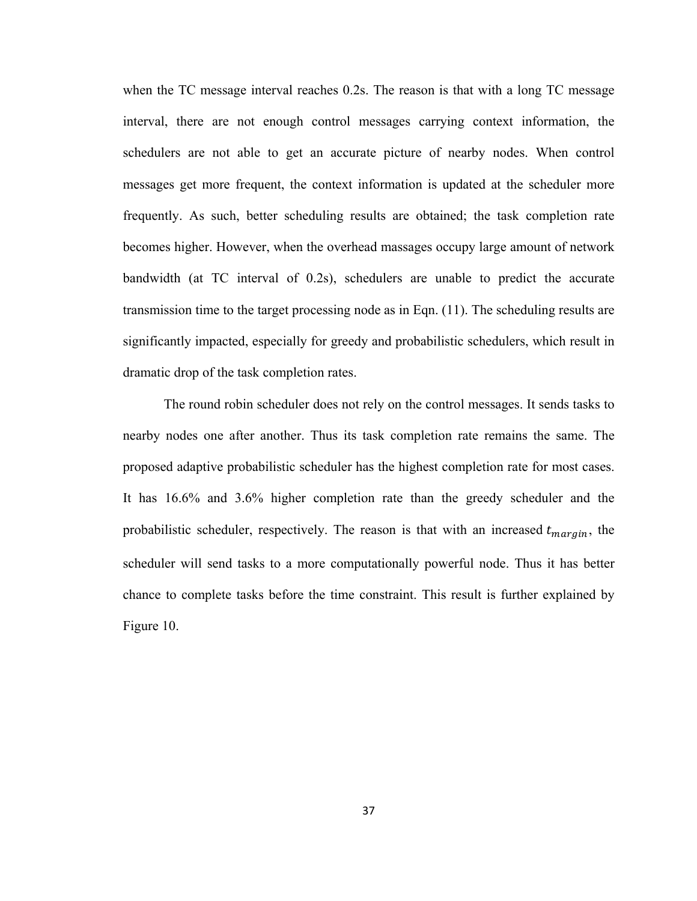when the TC message interval reaches 0.2s. The reason is that with a long TC message interval, there are not enough control messages carrying context information, the schedulers are not able to get an accurate picture of nearby nodes. When control messages get more frequent, the context information is updated at the scheduler more frequently. As such, better scheduling results are obtained; the task completion rate becomes higher. However, when the overhead massages occupy large amount of network bandwidth (at TC interval of 0.2s), schedulers are unable to predict the accurate transmission time to the target processing node as in Eqn. (11). The scheduling results are significantly impacted, especially for greedy and probabilistic schedulers, which result in dramatic drop of the task completion rates.

The round robin scheduler does not rely on the control messages. It sends tasks to nearby nodes one after another. Thus its task completion rate remains the same. The proposed adaptive probabilistic scheduler has the highest completion rate for most cases. It has 16.6% and 3.6% higher completion rate than the greedy scheduler and the probabilistic scheduler, respectively. The reason is that with an increased  $t_{margin}$ , the scheduler will send tasks to a more computationally powerful node. Thus it has better chance to complete tasks before the time constraint. This result is further explained by Figure 10.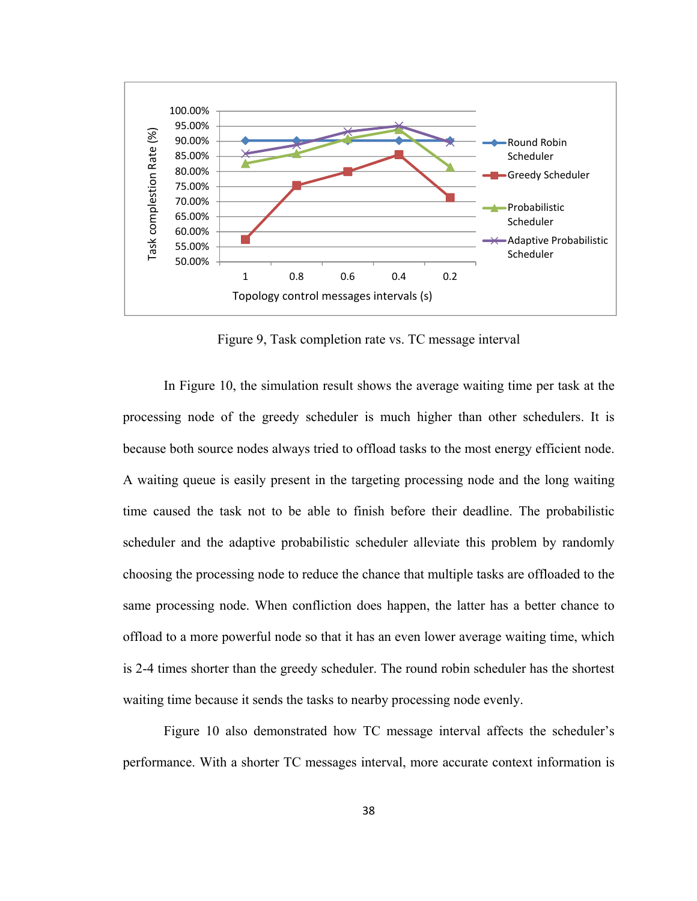

Figure 9, Task completion rate vs. TC message interval

 In Figure 10, the simulation result shows the average waiting time per task at the processing node of the greedy scheduler is much higher than other schedulers. It is because both source nodes always tried to offload tasks to the most energy efficient node. A waiting queue is easily present in the targeting processing node and the long waiting time caused the task not to be able to finish before their deadline. The probabilistic scheduler and the adaptive probabilistic scheduler alleviate this problem by randomly choosing the processing node to reduce the chance that multiple tasks are offloaded to the same processing node. When confliction does happen, the latter has a better chance to offload to a more powerful node so that it has an even lower average waiting time, which is 2-4 times shorter than the greedy scheduler. The round robin scheduler has the shortest waiting time because it sends the tasks to nearby processing node evenly.

 Figure 10 also demonstrated how TC message interval affects the scheduler's performance. With a shorter TC messages interval, more accurate context information is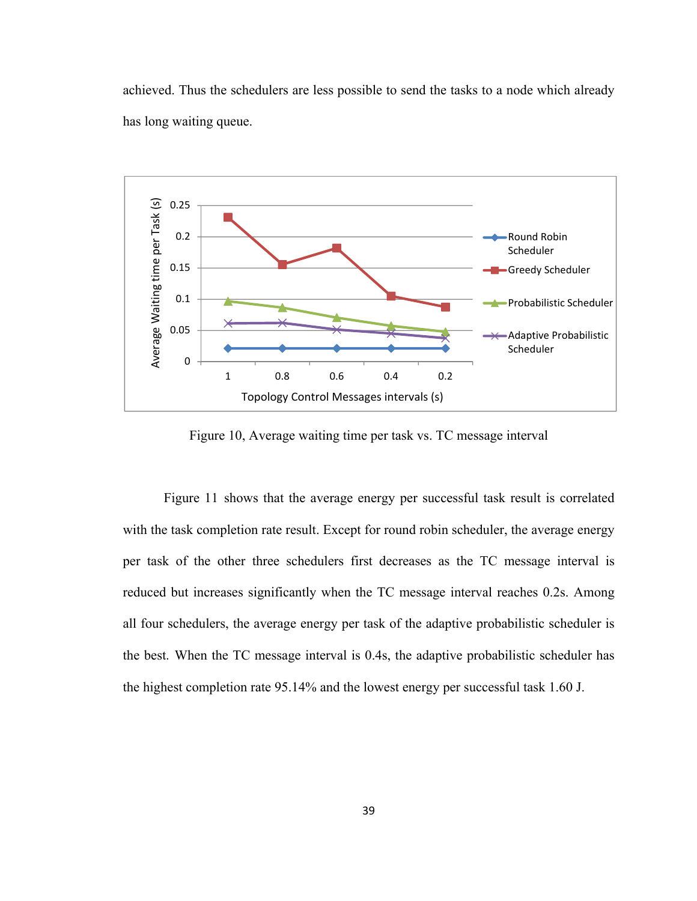achieved. Thus the schedulers are less possible to send the tasks to a node which already has long waiting queue.



Figure 10, Average waiting time per task vs. TC message interval

 Figure 11 shows that the average energy per successful task result is correlated with the task completion rate result. Except for round robin scheduler, the average energy per task of the other three schedulers first decreases as the TC message interval is reduced but increases significantly when the TC message interval reaches 0.2s. Among all four schedulers, the average energy per task of the adaptive probabilistic scheduler is the best. When the TC message interval is 0.4s, the adaptive probabilistic scheduler has the highest completion rate 95.14% and the lowest energy per successful task 1.60 J.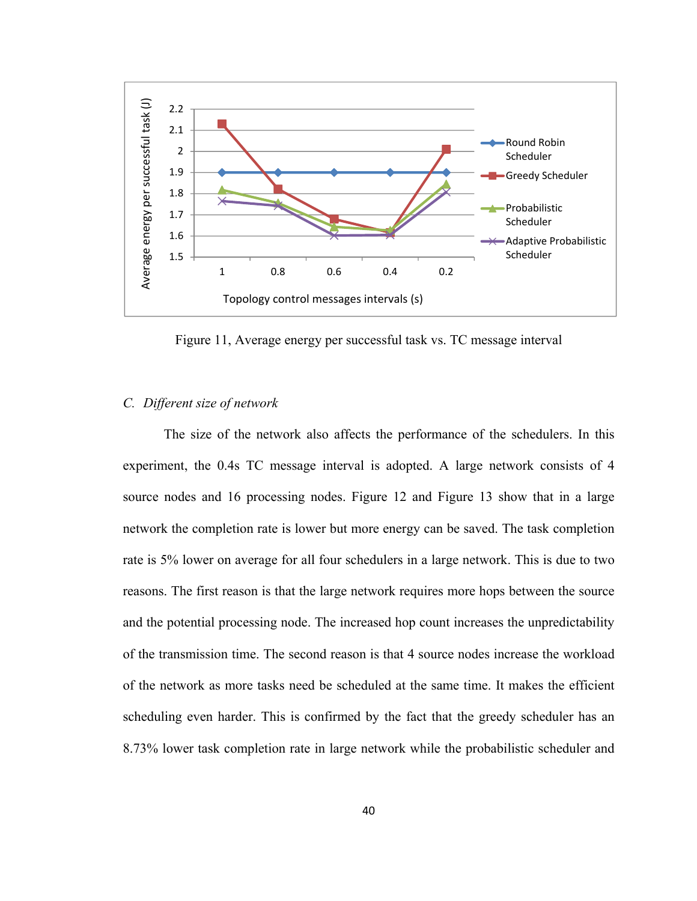

Figure 11, Average energy per successful task vs. TC message interval

#### *C. Different size of network*

 The size of the network also affects the performance of the schedulers. In this experiment, the 0.4s TC message interval is adopted. A large network consists of 4 source nodes and 16 processing nodes. Figure 12 and Figure 13 show that in a large network the completion rate is lower but more energy can be saved. The task completion rate is 5% lower on average for all four schedulers in a large network. This is due to two reasons. The first reason is that the large network requires more hops between the source and the potential processing node. The increased hop count increases the unpredictability of the transmission time. The second reason is that 4 source nodes increase the workload of the network as more tasks need be scheduled at the same time. It makes the efficient scheduling even harder. This is confirmed by the fact that the greedy scheduler has an 8.73% lower task completion rate in large network while the probabilistic scheduler and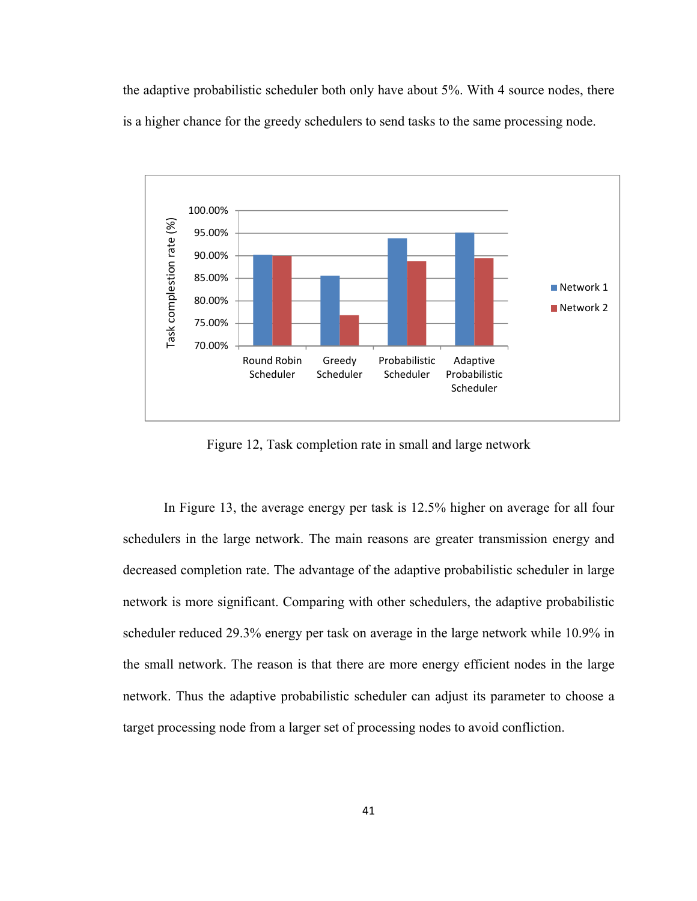the adaptive probabilistic scheduler both only have about 5%. With 4 source nodes, there is a higher chance for the greedy schedulers to send tasks to the same processing node.



Figure 12, Task completion rate in small and large network

 In Figure 13, the average energy per task is 12.5% higher on average for all four schedulers in the large network. The main reasons are greater transmission energy and decreased completion rate. The advantage of the adaptive probabilistic scheduler in large network is more significant. Comparing with other schedulers, the adaptive probabilistic scheduler reduced 29.3% energy per task on average in the large network while 10.9% in the small network. The reason is that there are more energy efficient nodes in the large network. Thus the adaptive probabilistic scheduler can adjust its parameter to choose a target processing node from a larger set of processing nodes to avoid confliction.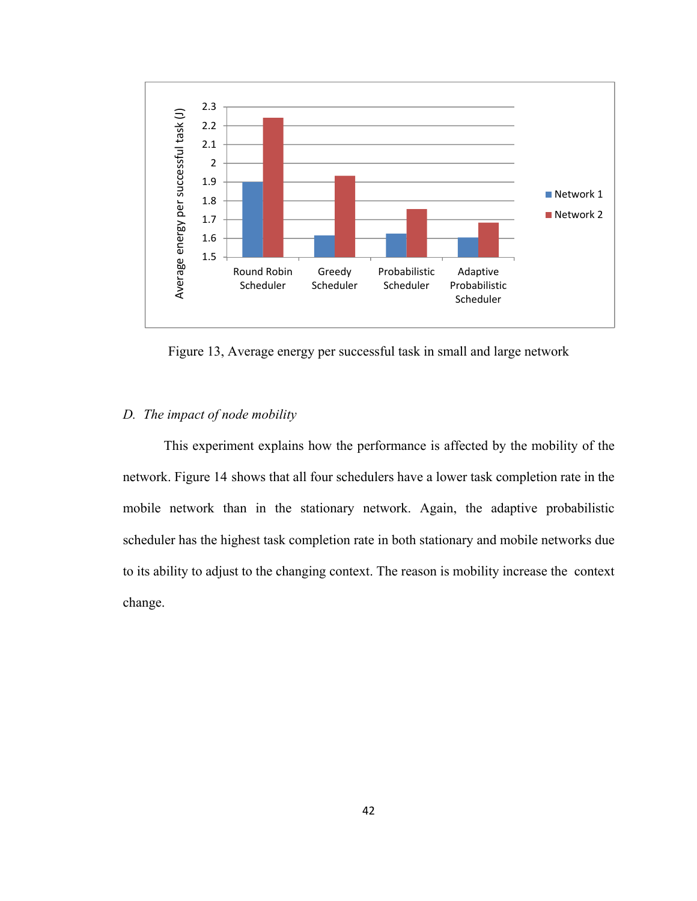

Figure 13, Average energy per successful task in small and large network

#### *D. The impact of node mobility*

 This experiment explains how the performance is affected by the mobility of the network. Figure 14 shows that all four schedulers have a lower task completion rate in the mobile network than in the stationary network. Again, the adaptive probabilistic scheduler has the highest task completion rate in both stationary and mobile networks due to its ability to adjust to the changing context. The reason is mobility increase the context change.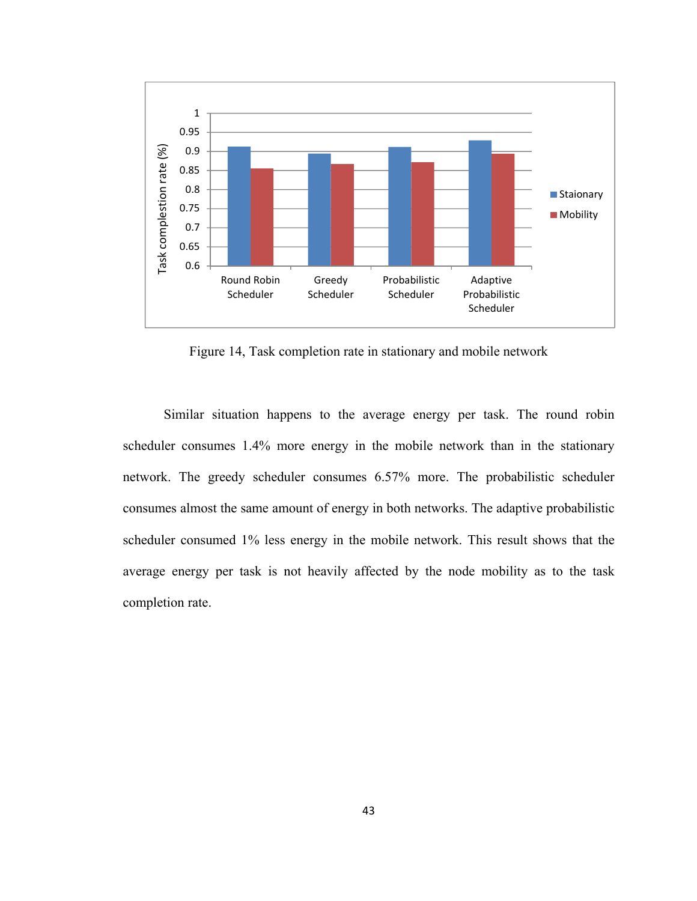

Figure 14, Task completion rate in stationary and mobile network

 Similar situation happens to the average energy per task. The round robin scheduler consumes 1.4% more energy in the mobile network than in the stationary network. The greedy scheduler consumes 6.57% more. The probabilistic scheduler consumes almost the same amount of energy in both networks. The adaptive probabilistic scheduler consumed 1% less energy in the mobile network. This result shows that the average energy per task is not heavily affected by the node mobility as to the task completion rate.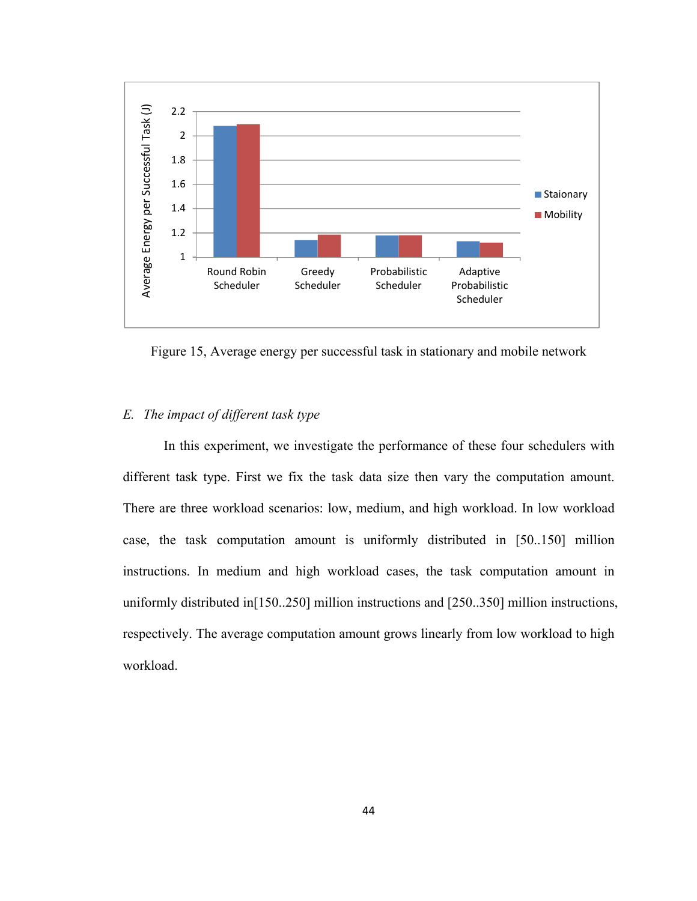

Figure 15, Average energy per successful task in stationary and mobile network

### *E. The impact of different task type*

 In this experiment, we investigate the performance of these four schedulers with different task type. First we fix the task data size then vary the computation amount. There are three workload scenarios: low, medium, and high workload. In low workload case, the task computation amount is uniformly distributed in [50..150] million instructions. In medium and high workload cases, the task computation amount in uniformly distributed in[150..250] million instructions and [250..350] million instructions, respectively. The average computation amount grows linearly from low workload to high workload.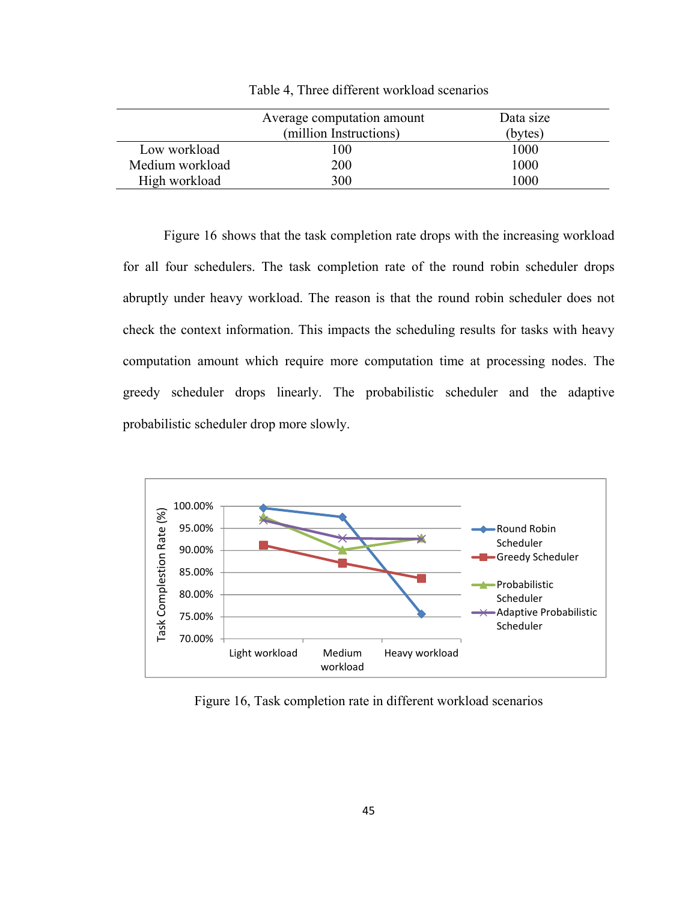|                 | Average computation amount | Data size |
|-----------------|----------------------------|-----------|
|                 | (million Instructions)     | (bytes)   |
| Low workload    | 100                        | 1000      |
| Medium workload | <b>200</b>                 | 1000      |
| High workload   | 300                        | 1000      |

Table 4, Three different workload scenarios

 Figure 16 shows that the task completion rate drops with the increasing workload for all four schedulers. The task completion rate of the round robin scheduler drops abruptly under heavy workload. The reason is that the round robin scheduler does not check the context information. This impacts the scheduling results for tasks with heavy computation amount which require more computation time at processing nodes. The greedy scheduler drops linearly. The probabilistic scheduler and the adaptive probabilistic scheduler drop more slowly.



Figure 16, Task completion rate in different workload scenarios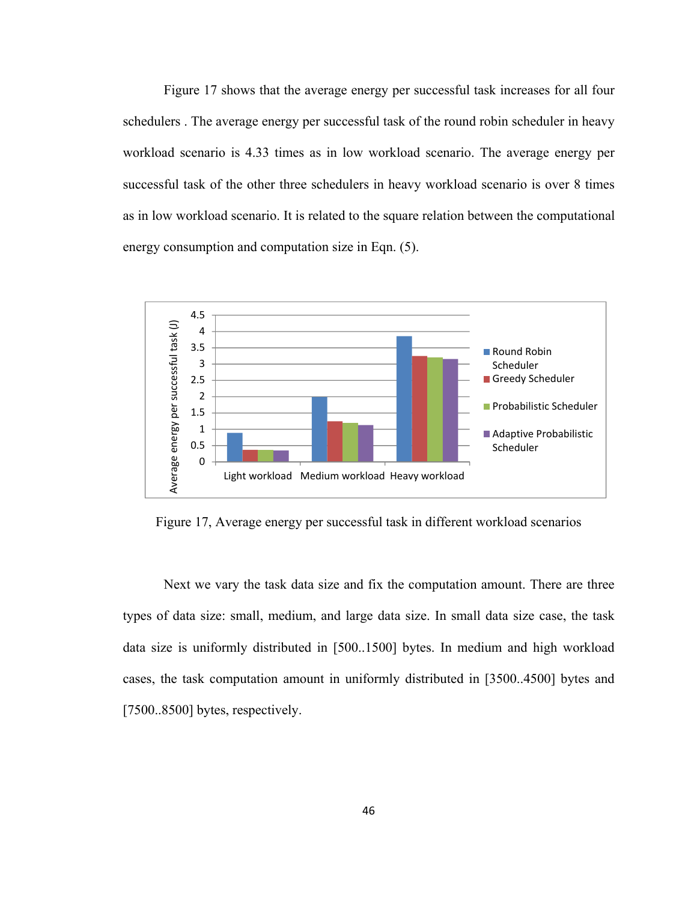Figure 17 shows that the average energy per successful task increases for all four schedulers . The average energy per successful task of the round robin scheduler in heavy workload scenario is 4.33 times as in low workload scenario. The average energy per successful task of the other three schedulers in heavy workload scenario is over 8 times as in low workload scenario. It is related to the square relation between the computational energy consumption and computation size in Eqn. (5).



Figure 17, Average energy per successful task in different workload scenarios

 Next we vary the task data size and fix the computation amount. There are three types of data size: small, medium, and large data size. In small data size case, the task data size is uniformly distributed in [500..1500] bytes. In medium and high workload cases, the task computation amount in uniformly distributed in [3500..4500] bytes and [7500..8500] bytes, respectively.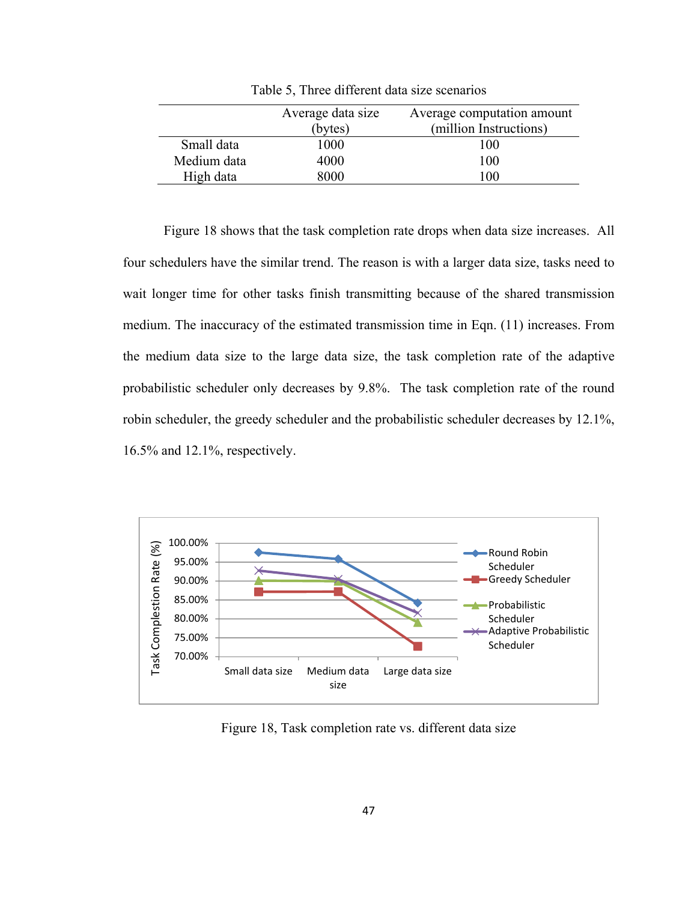|             | Average data size<br>(bytes) | Average computation amount<br>(million Instructions) |
|-------------|------------------------------|------------------------------------------------------|
| Small data  | 1000                         | 100                                                  |
| Medium data | 4000                         | 100                                                  |
| High data   | 8000                         | 100                                                  |

Table 5, Three different data size scenarios

Figure 18 shows that the task completion rate drops when data size increases. All four schedulers have the similar trend. The reason is with a larger data size, tasks need to wait longer time for other tasks finish transmitting because of the shared transmission medium. The inaccuracy of the estimated transmission time in Eqn. (11) increases. From the medium data size to the large data size, the task completion rate of the adaptive probabilistic scheduler only decreases by 9.8%. The task completion rate of the round robin scheduler, the greedy scheduler and the probabilistic scheduler decreases by 12.1%, 16.5% and 12.1%, respectively.



Figure 18, Task completion rate vs. different data size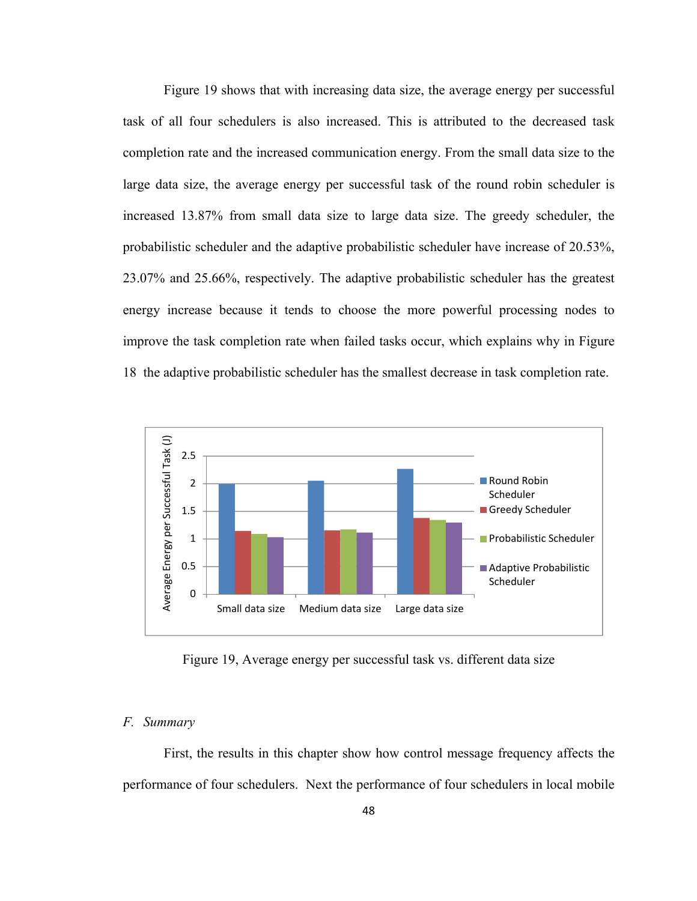Figure 19 shows that with increasing data size, the average energy per successful task of all four schedulers is also increased. This is attributed to the decreased task completion rate and the increased communication energy. From the small data size to the large data size, the average energy per successful task of the round robin scheduler is increased 13.87% from small data size to large data size. The greedy scheduler, the probabilistic scheduler and the adaptive probabilistic scheduler have increase of 20.53%, 23.07% and 25.66%, respectively. The adaptive probabilistic scheduler has the greatest energy increase because it tends to choose the more powerful processing nodes to improve the task completion rate when failed tasks occur, which explains why in Figure 18 the adaptive probabilistic scheduler has the smallest decrease in task completion rate.



Figure 19, Average energy per successful task vs. different data size

#### *F. Summary*

First, the results in this chapter show how control message frequency affects the performance of four schedulers. Next the performance of four schedulers in local mobile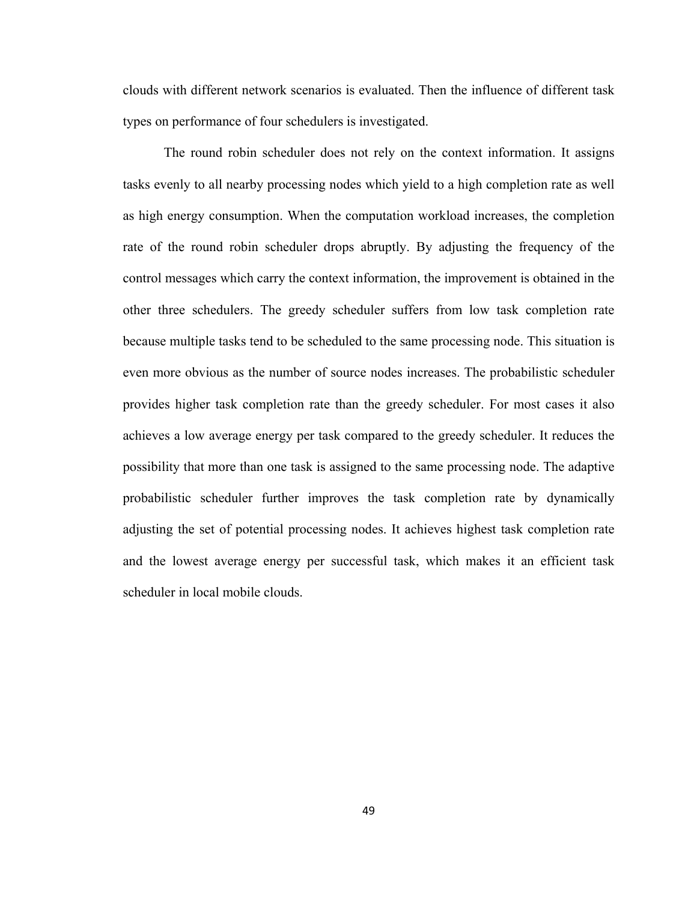clouds with different network scenarios is evaluated. Then the influence of different task types on performance of four schedulers is investigated.

The round robin scheduler does not rely on the context information. It assigns tasks evenly to all nearby processing nodes which yield to a high completion rate as well as high energy consumption. When the computation workload increases, the completion rate of the round robin scheduler drops abruptly. By adjusting the frequency of the control messages which carry the context information, the improvement is obtained in the other three schedulers. The greedy scheduler suffers from low task completion rate because multiple tasks tend to be scheduled to the same processing node. This situation is even more obvious as the number of source nodes increases. The probabilistic scheduler provides higher task completion rate than the greedy scheduler. For most cases it also achieves a low average energy per task compared to the greedy scheduler. It reduces the possibility that more than one task is assigned to the same processing node. The adaptive probabilistic scheduler further improves the task completion rate by dynamically adjusting the set of potential processing nodes. It achieves highest task completion rate and the lowest average energy per successful task, which makes it an efficient task scheduler in local mobile clouds.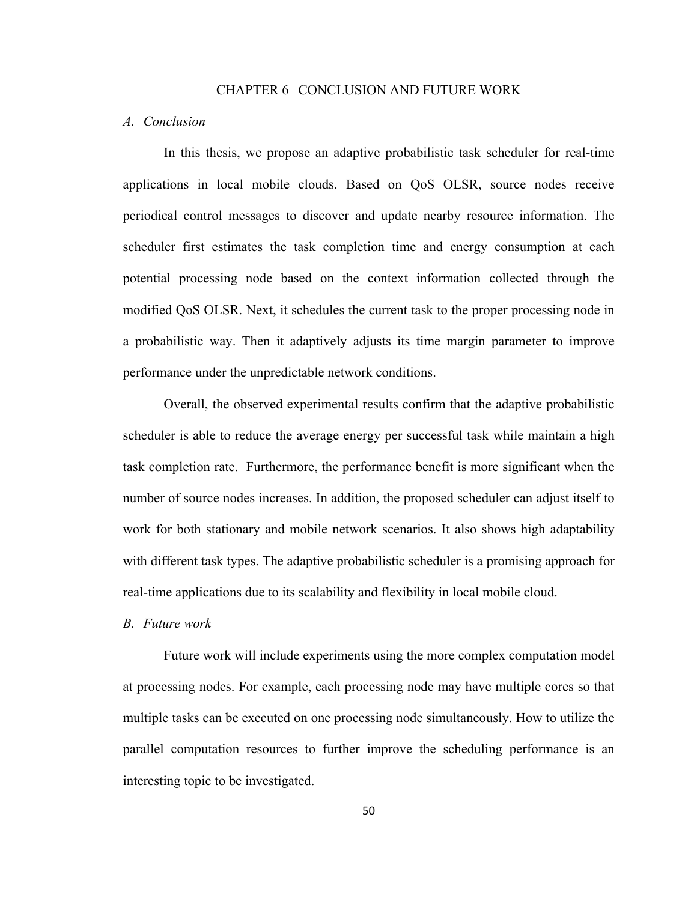#### CHAPTER 6 CONCLUSION AND FUTURE WORK

#### *A. Conclusion*

In this thesis, we propose an adaptive probabilistic task scheduler for real-time applications in local mobile clouds. Based on QoS OLSR, source nodes receive periodical control messages to discover and update nearby resource information. The scheduler first estimates the task completion time and energy consumption at each potential processing node based on the context information collected through the modified QoS OLSR. Next, it schedules the current task to the proper processing node in a probabilistic way. Then it adaptively adjusts its time margin parameter to improve performance under the unpredictable network conditions.

Overall, the observed experimental results confirm that the adaptive probabilistic scheduler is able to reduce the average energy per successful task while maintain a high task completion rate. Furthermore, the performance benefit is more significant when the number of source nodes increases. In addition, the proposed scheduler can adjust itself to work for both stationary and mobile network scenarios. It also shows high adaptability with different task types. The adaptive probabilistic scheduler is a promising approach for real-time applications due to its scalability and flexibility in local mobile cloud.

#### *B. Future work*

Future work will include experiments using the more complex computation model at processing nodes. For example, each processing node may have multiple cores so that multiple tasks can be executed on one processing node simultaneously. How to utilize the parallel computation resources to further improve the scheduling performance is an interesting topic to be investigated.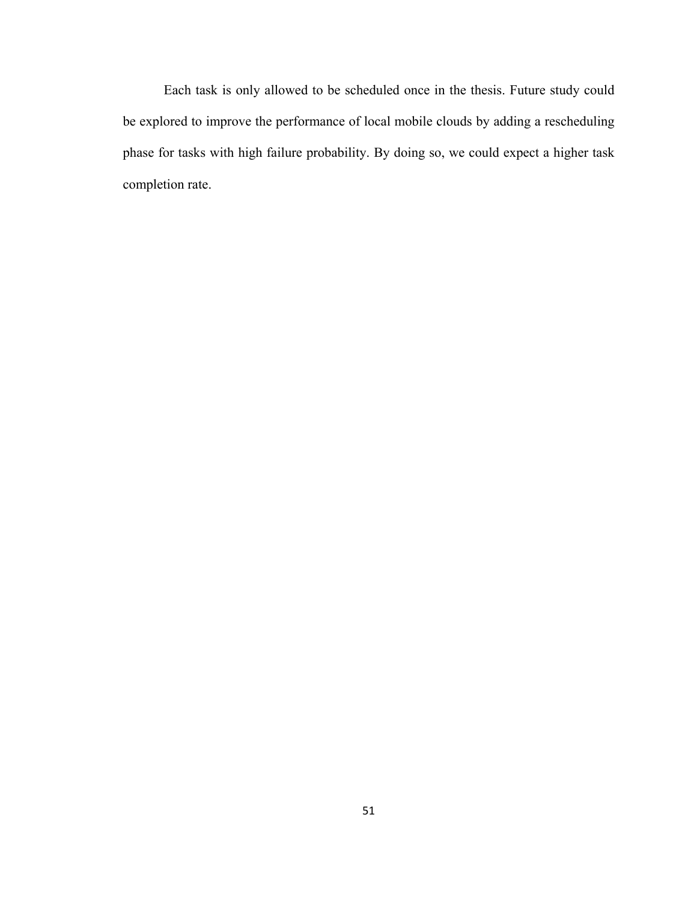Each task is only allowed to be scheduled once in the thesis. Future study could be explored to improve the performance of local mobile clouds by adding a rescheduling phase for tasks with high failure probability. By doing so, we could expect a higher task completion rate.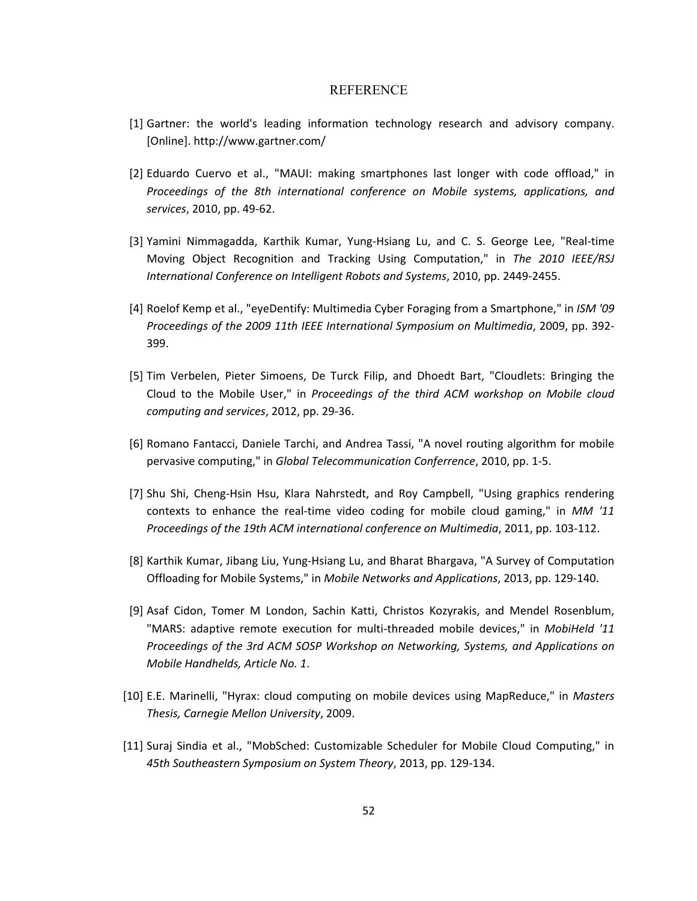#### REFERENCE

- [1] Gartner: the world's leading information technology research and advisory company. [Online]. http://www.gartner.com/
- [2] Eduardo Cuervo et al., "MAUI: making smartphones last longer with code offload," in *Proceedings of the 8th international conference on Mobile systems, applications, and services*, 2010, pp. 49-62.
- [3] Yamini Nimmagadda, Karthik Kumar, Yung-Hsiang Lu, and C. S. George Lee, "Real-time Moving Object Recognition and Tracking Using Computation," in *The 2010 IEEE/RSJ International Conference on Intelligent Robots and Systems*, 2010, pp. 2449-2455.
- [4] Roelof Kemp et al., "eyeDentify: Multimedia Cyber Foraging from a Smartphone," in *ISM '09 Proceedings of the 2009 11th IEEE International Symposium on Multimedia*, 2009, pp. 392- 399.
- [5] Tim Verbelen, Pieter Simoens, De Turck Filip, and Dhoedt Bart, "Cloudlets: Bringing the Cloud to the Mobile User," in *Proceedings of the third ACM workshop on Mobile cloud computing and services*, 2012, pp. 29-36.
- [6] Romano Fantacci, Daniele Tarchi, and Andrea Tassi, "A novel routing algorithm for mobile pervasive computing," in *Global Telecommunication Conferrence*, 2010, pp. 1-5.
- [7] Shu Shi, Cheng-Hsin Hsu, Klara Nahrstedt, and Roy Campbell, "Using graphics rendering contexts to enhance the real-time video coding for mobile cloud gaming," in *MM '11 Proceedings of the 19th ACM international conference on Multimedia*, 2011, pp. 103-112.
- [8] Karthik Kumar, Jibang Liu, Yung-Hsiang Lu, and Bharat Bhargava, "A Survey of Computation Offloading for Mobile Systems," in *Mobile Networks and Applications*, 2013, pp. 129-140.
- [9] Asaf Cidon, Tomer M London, Sachin Katti, Christos Kozyrakis, and Mendel Rosenblum, "MARS: adaptive remote execution for multi-threaded mobile devices," in *MobiHeld '11 Proceedings of the 3rd ACM SOSP Workshop on Networking, Systems, and Applications on Mobile Handhelds, Article No. 1*.
- [10] E.E. Marinelli, "Hyrax: cloud computing on mobile devices using MapReduce," in *Masters Thesis, Carnegie Mellon University*, 2009.
- [11] Suraj Sindia et al., "MobSched: Customizable Scheduler for Mobile Cloud Computing," in *45th Southeastern Symposium on System Theory*, 2013, pp. 129-134.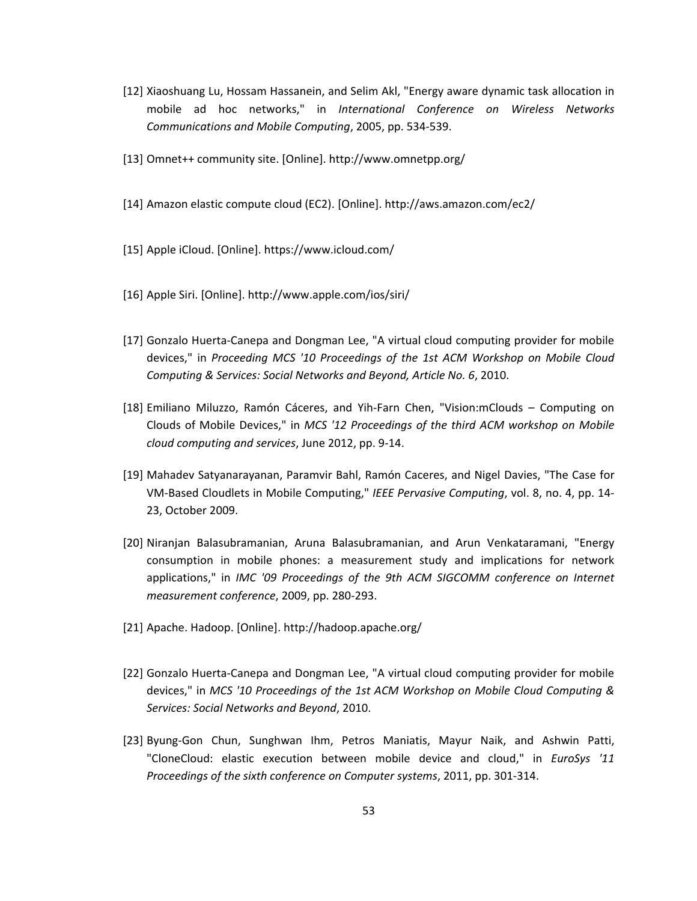- [12] Xiaoshuang Lu, Hossam Hassanein, and Selim Akl, "Energy aware dynamic task allocation in mobile ad hoc networks," in *International Conference on Wireless Networks Communications and Mobile Computing*, 2005, pp. 534-539.
- [13] Omnet++ community site. [Online]. http://www.omnetpp.org/
- [14] Amazon elastic compute cloud (EC2). [Online]. http://aws.amazon.com/ec2/
- [15] Apple iCloud. [Online]. https://www.icloud.com/
- [16] Apple Siri. [Online]. http://www.apple.com/ios/siri/
- [17] Gonzalo Huerta-Canepa and Dongman Lee, "A virtual cloud computing provider for mobile devices," in *Proceeding MCS '10 Proceedings of the 1st ACM Workshop on Mobile Cloud Computing & Services: Social Networks and Beyond, Article No. 6*, 2010.
- [18] Emiliano Miluzzo, Ramón Cáceres, and Yih-Farn Chen, "Vision:mClouds Computing on Clouds of Mobile Devices," in *MCS '12 Proceedings of the third ACM workshop on Mobile cloud computing and services*, June 2012, pp. 9-14.
- [19] Mahadev Satyanarayanan, Paramvir Bahl, Ramón Caceres, and Nigel Davies, "The Case for VM-Based Cloudlets in Mobile Computing," *IEEE Pervasive Computing*, vol. 8, no. 4, pp. 14- 23, October 2009.
- [20] Niranjan Balasubramanian, Aruna Balasubramanian, and Arun Venkataramani, "Energy consumption in mobile phones: a measurement study and implications for network applications," in *IMC '09 Proceedings of the 9th ACM SIGCOMM conference on Internet measurement conference*, 2009, pp. 280-293.
- [21] Apache. Hadoop. [Online]. http://hadoop.apache.org/
- [22] Gonzalo Huerta-Canepa and Dongman Lee, "A virtual cloud computing provider for mobile devices," in *MCS '10 Proceedings of the 1st ACM Workshop on Mobile Cloud Computing & Services: Social Networks and Beyond*, 2010.
- [23] Byung-Gon Chun, Sunghwan Ihm, Petros Maniatis, Mayur Naik, and Ashwin Patti, "CloneCloud: elastic execution between mobile device and cloud," in *EuroSys '11 Proceedings of the sixth conference on Computer systems*, 2011, pp. 301-314.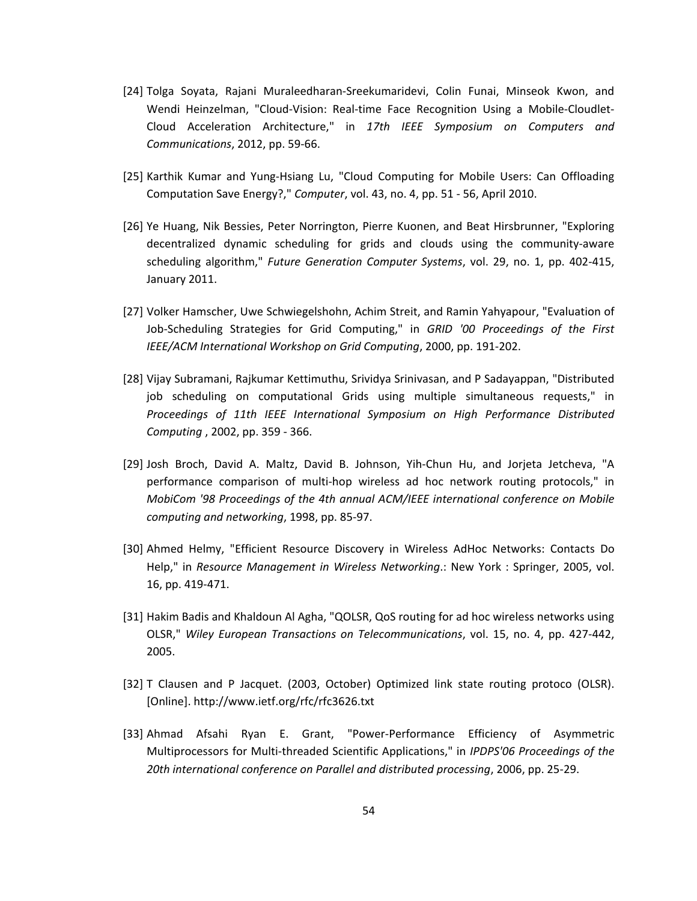- [24] Tolga Soyata, Rajani Muraleedharan-Sreekumaridevi, Colin Funai, Minseok Kwon, and Wendi Heinzelman, "Cloud-Vision: Real-time Face Recognition Using a Mobile-Cloudlet-Cloud Acceleration Architecture," in *17th IEEE Symposium on Computers and Communications*, 2012, pp. 59-66.
- [25] Karthik Kumar and Yung-Hsiang Lu, "Cloud Computing for Mobile Users: Can Offloading Computation Save Energy?," *Computer*, vol. 43, no. 4, pp. 51 - 56, April 2010.
- [26] Ye Huang, Nik Bessies, Peter Norrington, Pierre Kuonen, and Beat Hirsbrunner, "Exploring decentralized dynamic scheduling for grids and clouds using the community-aware scheduling algorithm," *Future Generation Computer Systems*, vol. 29, no. 1, pp. 402-415, January 2011.
- [27] Volker Hamscher, Uwe Schwiegelshohn, Achim Streit, and Ramin Yahyapour, "Evaluation of Job-Scheduling Strategies for Grid Computing," in *GRID '00 Proceedings of the First IEEE/ACM International Workshop on Grid Computing*, 2000, pp. 191-202.
- [28] Vijay Subramani, Rajkumar Kettimuthu, Srividya Srinivasan, and P Sadayappan, "Distributed job scheduling on computational Grids using multiple simultaneous requests," in *Proceedings of 11th IEEE International Symposium on High Performance Distributed Computing* , 2002, pp. 359 - 366.
- [29] Josh Broch, David A. Maltz, David B. Johnson, Yih-Chun Hu, and Jorjeta Jetcheva, "A performance comparison of multi-hop wireless ad hoc network routing protocols," in *MobiCom '98 Proceedings of the 4th annual ACM/IEEE international conference on Mobile computing and networking*, 1998, pp. 85-97.
- [30] Ahmed Helmy, "Efficient Resource Discovery in Wireless AdHoc Networks: Contacts Do Help," in *Resource Management in Wireless Networking*.: New York : Springer, 2005, vol. 16, pp. 419-471.
- [31] Hakim Badis and Khaldoun Al Agha, "QOLSR, QoS routing for ad hoc wireless networks using OLSR," *Wiley European Transactions on Telecommunications*, vol. 15, no. 4, pp. 427-442, 2005.
- [32] T Clausen and P Jacquet. (2003, October) Optimized link state routing protoco (OLSR). [Online]. http://www.ietf.org/rfc/rfc3626.txt
- [33] Ahmad Afsahi Ryan E. Grant, "Power-Performance Efficiency of Asymmetric Multiprocessors for Multi-threaded Scientific Applications," in *IPDPS'06 Proceedings of the 20th international conference on Parallel and distributed processing*, 2006, pp. 25-29.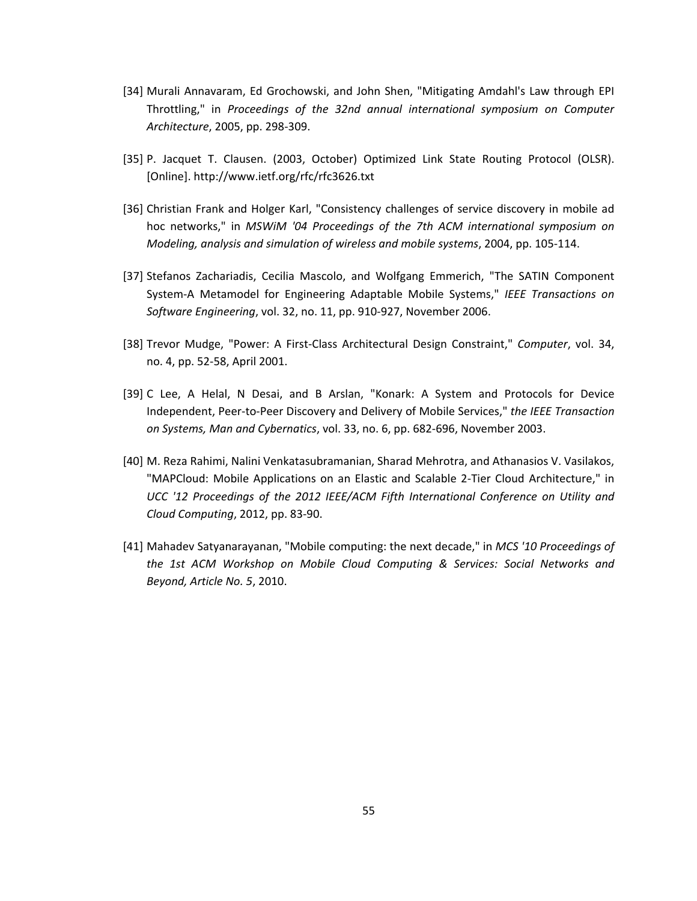- [34] Murali Annavaram, Ed Grochowski, and John Shen, "Mitigating Amdahl's Law through EPI Throttling," in *Proceedings of the 32nd annual international symposium on Computer Architecture*, 2005, pp. 298-309.
- [35] P. Jacquet T. Clausen. (2003, October) Optimized Link State Routing Protocol (OLSR). [Online]. http://www.ietf.org/rfc/rfc3626.txt
- [36] Christian Frank and Holger Karl, "Consistency challenges of service discovery in mobile ad hoc networks," in *MSWiM '04 Proceedings of the 7th ACM international symposium on Modeling, analysis and simulation of wireless and mobile systems*, 2004, pp. 105-114.
- [37] Stefanos Zachariadis, Cecilia Mascolo, and Wolfgang Emmerich, "The SATIN Component System-A Metamodel for Engineering Adaptable Mobile Systems," *IEEE Transactions on Software Engineering*, vol. 32, no. 11, pp. 910-927, November 2006.
- [38] Trevor Mudge, "Power: A First-Class Architectural Design Constraint," *Computer*, vol. 34, no. 4, pp. 52-58, April 2001.
- [39] C Lee, A Helal, N Desai, and B Arslan, "Konark: A System and Protocols for Device Independent, Peer-to-Peer Discovery and Delivery of Mobile Services," *the IEEE Transaction on Systems, Man and Cybernatics*, vol. 33, no. 6, pp. 682-696, November 2003.
- [40] M. Reza Rahimi, Nalini Venkatasubramanian, Sharad Mehrotra, and Athanasios V. Vasilakos, "MAPCloud: Mobile Applications on an Elastic and Scalable 2-Tier Cloud Architecture," in *UCC '12 Proceedings of the 2012 IEEE/ACM Fifth International Conference on Utility and Cloud Computing*, 2012, pp. 83-90.
- [41] Mahadev Satyanarayanan, "Mobile computing: the next decade," in *MCS '10 Proceedings of the 1st ACM Workshop on Mobile Cloud Computing & Services: Social Networks and Beyond, Article No. 5*, 2010.